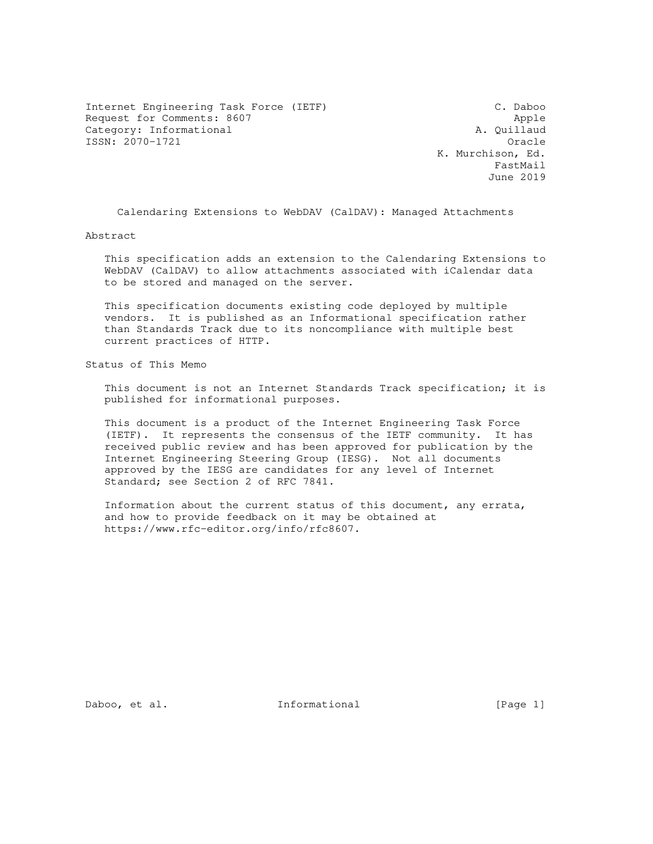Internet Engineering Task Force (IETF) C. Daboo Request for Comments: 8607 Apple 2014 Apple 2014 Apple 2014 Apple Category: Informational and all the control of the control of the control of the control of the control of the control of the control of the control of the control of the control of the control of the control of the contro ISSN: 2070-1721 Oracle

 K. Murchison, Ed. FastMail June 2019

Calendaring Extensions to WebDAV (CalDAV): Managed Attachments

Abstract

 This specification adds an extension to the Calendaring Extensions to WebDAV (CalDAV) to allow attachments associated with iCalendar data to be stored and managed on the server.

 This specification documents existing code deployed by multiple vendors. It is published as an Informational specification rather than Standards Track due to its noncompliance with multiple best current practices of HTTP.

Status of This Memo

 This document is not an Internet Standards Track specification; it is published for informational purposes.

 This document is a product of the Internet Engineering Task Force (IETF). It represents the consensus of the IETF community. It has received public review and has been approved for publication by the Internet Engineering Steering Group (IESG). Not all documents approved by the IESG are candidates for any level of Internet Standard; see Section 2 of RFC 7841.

 Information about the current status of this document, any errata, and how to provide feedback on it may be obtained at https://www.rfc-editor.org/info/rfc8607.

Daboo, et al. 1nformational [Page 1]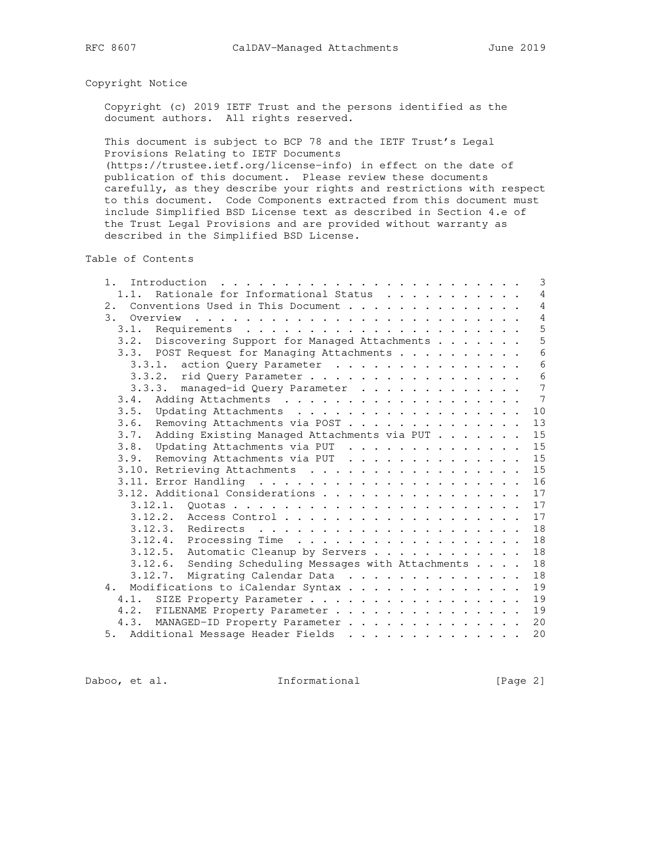# Copyright Notice

 Copyright (c) 2019 IETF Trust and the persons identified as the document authors. All rights reserved.

 This document is subject to BCP 78 and the IETF Trust's Legal Provisions Relating to IETF Documents

 (https://trustee.ietf.org/license-info) in effect on the date of publication of this document. Please review these documents carefully, as they describe your rights and restrictions with respect to this document. Code Components extracted from this document must include Simplified BSD License text as described in Section 4.e of the Trust Legal Provisions and are provided without warranty as described in the Simplified BSD License.

Table of Contents

| Rationale for Informational Status<br>1.1.<br>Conventions Used in This Document<br>2.<br>3.<br>Overview<br>3.2. Discovering Support for Managed Attachments | $\overline{4}$<br>$\overline{4}$<br>$\overline{4}$<br>5<br>5<br>$6\overline{6}$<br>6<br>$6\phantom{1}6$<br>$\overline{7}$<br>$7\phantom{.0}$ |
|-------------------------------------------------------------------------------------------------------------------------------------------------------------|----------------------------------------------------------------------------------------------------------------------------------------------|
|                                                                                                                                                             |                                                                                                                                              |
|                                                                                                                                                             |                                                                                                                                              |
|                                                                                                                                                             |                                                                                                                                              |
|                                                                                                                                                             |                                                                                                                                              |
|                                                                                                                                                             |                                                                                                                                              |
| 3.3. POST Request for Managing Attachments                                                                                                                  |                                                                                                                                              |
| 3.3.1. action Query Parameter                                                                                                                               |                                                                                                                                              |
| 3.3.2. rid Query Parameter                                                                                                                                  |                                                                                                                                              |
| 3.3.3. managed-id Query Parameter                                                                                                                           |                                                                                                                                              |
| 3.4.                                                                                                                                                        |                                                                                                                                              |
|                                                                                                                                                             | 10                                                                                                                                           |
| Removing Attachments via POST<br>3.6.                                                                                                                       | 13                                                                                                                                           |
| Adding Existing Managed Attachments via PUT<br>3.7.                                                                                                         | 15                                                                                                                                           |
| 3.8. Updating Attachments via PUT                                                                                                                           | 15                                                                                                                                           |
| 3.9. Removing Attachments via PUT                                                                                                                           | 15                                                                                                                                           |
| 3.10. Retrieving Attachments                                                                                                                                | 15                                                                                                                                           |
|                                                                                                                                                             | 16                                                                                                                                           |
| 3.12. Additional Considerations                                                                                                                             | 17                                                                                                                                           |
| 3.12.1.                                                                                                                                                     | 17                                                                                                                                           |
|                                                                                                                                                             | 17                                                                                                                                           |
|                                                                                                                                                             | 18                                                                                                                                           |
|                                                                                                                                                             | 18                                                                                                                                           |
| 3.12.5. Automatic Cleanup by Servers                                                                                                                        | 18                                                                                                                                           |
| 3.12.6. Sending Scheduling Messages with Attachments                                                                                                        | 18                                                                                                                                           |
|                                                                                                                                                             | 18                                                                                                                                           |
| Modifications to iCalendar Syntax<br>4.                                                                                                                     | 19                                                                                                                                           |
| SIZE Property Parameter<br>4.1.                                                                                                                             | 19                                                                                                                                           |
| 4.2. FILENAME Property Parameter                                                                                                                            | 19                                                                                                                                           |
| 4.3. MANAGED-ID Property Parameter                                                                                                                          | 20                                                                                                                                           |
| 5. Additional Message Header Fields                                                                                                                         | 20                                                                                                                                           |

Daboo, et al. 1nformational [Page 2]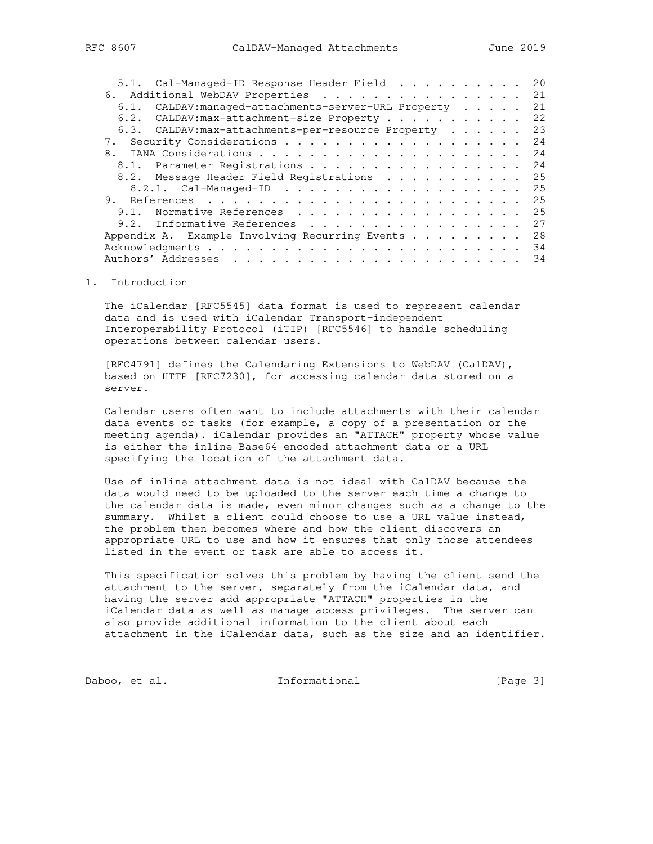| 5.1. Cal-Managed-ID Response Header Field             |  |  | 20 |
|-------------------------------------------------------|--|--|----|
| 6. Additional WebDAV Properties 21                    |  |  |    |
| 6.1. CALDAV: managed-attachments-server-URL Property  |  |  | 21 |
| 6.2. CALDAV: max-attachment-size Property             |  |  | 22 |
| 6.3. CALDAV: max-attachments-per-resource Property 23 |  |  |    |
|                                                       |  |  | 24 |
| 8.                                                    |  |  |    |
| 8.1. Parameter Registrations 24                       |  |  |    |
| 8.2. Message Header Field Registrations 25            |  |  |    |
| 8.2.1. Cal-Managed-ID 25                              |  |  |    |
|                                                       |  |  |    |
| 9.1. Normative References                             |  |  | 25 |
| 9.2. Informative References                           |  |  | 27 |
| Appendix A. Example Involving Recurring Events 28     |  |  |    |
|                                                       |  |  | 34 |
|                                                       |  |  | 34 |

1. Introduction

 The iCalendar [RFC5545] data format is used to represent calendar data and is used with iCalendar Transport-independent Interoperability Protocol (iTIP) [RFC5546] to handle scheduling operations between calendar users.

 [RFC4791] defines the Calendaring Extensions to WebDAV (CalDAV), based on HTTP [RFC7230], for accessing calendar data stored on a server.

 Calendar users often want to include attachments with their calendar data events or tasks (for example, a copy of a presentation or the meeting agenda). iCalendar provides an "ATTACH" property whose value is either the inline Base64 encoded attachment data or a URL specifying the location of the attachment data.

 Use of inline attachment data is not ideal with CalDAV because the data would need to be uploaded to the server each time a change to the calendar data is made, even minor changes such as a change to the summary. Whilst a client could choose to use a URL value instead, the problem then becomes where and how the client discovers an appropriate URL to use and how it ensures that only those attendees listed in the event or task are able to access it.

 This specification solves this problem by having the client send the attachment to the server, separately from the iCalendar data, and having the server add appropriate "ATTACH" properties in the iCalendar data as well as manage access privileges. The server can also provide additional information to the client about each attachment in the iCalendar data, such as the size and an identifier.

Daboo, et al. 1nformational 1999 [Page 3]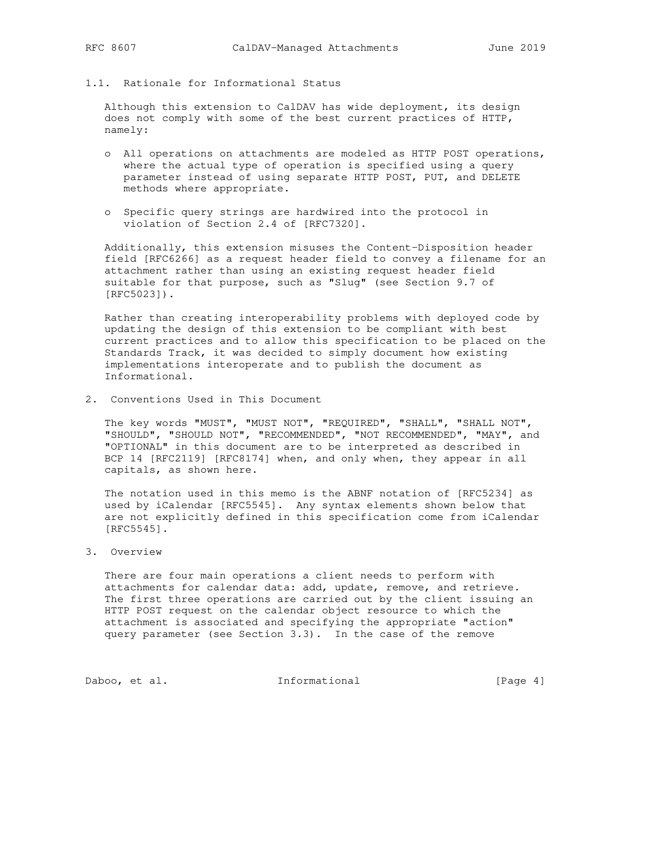1.1. Rationale for Informational Status

 Although this extension to CalDAV has wide deployment, its design does not comply with some of the best current practices of HTTP, namely:

- o All operations on attachments are modeled as HTTP POST operations, where the actual type of operation is specified using a query parameter instead of using separate HTTP POST, PUT, and DELETE methods where appropriate.
- o Specific query strings are hardwired into the protocol in violation of Section 2.4 of [RFC7320].

 Additionally, this extension misuses the Content-Disposition header field [RFC6266] as a request header field to convey a filename for an attachment rather than using an existing request header field suitable for that purpose, such as "Slug" (see Section 9.7 of [RFC5023]).

 Rather than creating interoperability problems with deployed code by updating the design of this extension to be compliant with best current practices and to allow this specification to be placed on the Standards Track, it was decided to simply document how existing implementations interoperate and to publish the document as Informational.

2. Conventions Used in This Document

 The key words "MUST", "MUST NOT", "REQUIRED", "SHALL", "SHALL NOT", "SHOULD", "SHOULD NOT", "RECOMMENDED", "NOT RECOMMENDED", "MAY", and "OPTIONAL" in this document are to be interpreted as described in BCP 14 [RFC2119] [RFC8174] when, and only when, they appear in all capitals, as shown here.

 The notation used in this memo is the ABNF notation of [RFC5234] as used by iCalendar [RFC5545]. Any syntax elements shown below that are not explicitly defined in this specification come from iCalendar [RFC5545].

3. Overview

 There are four main operations a client needs to perform with attachments for calendar data: add, update, remove, and retrieve. The first three operations are carried out by the client issuing an HTTP POST request on the calendar object resource to which the attachment is associated and specifying the appropriate "action" query parameter (see Section 3.3). In the case of the remove

Daboo, et al. 1nformational [Page 4]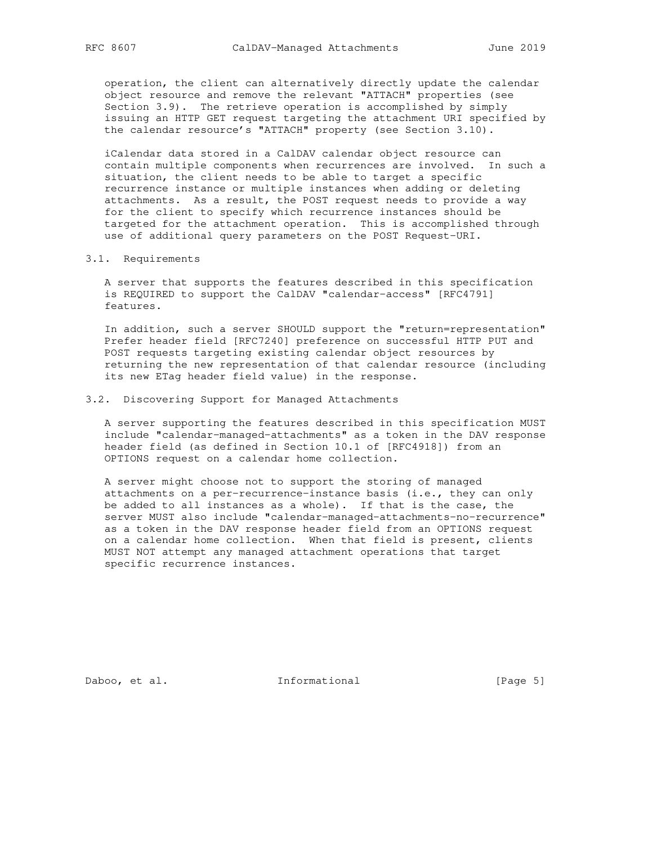operation, the client can alternatively directly update the calendar object resource and remove the relevant "ATTACH" properties (see Section 3.9). The retrieve operation is accomplished by simply issuing an HTTP GET request targeting the attachment URI specified by the calendar resource's "ATTACH" property (see Section 3.10).

 iCalendar data stored in a CalDAV calendar object resource can contain multiple components when recurrences are involved. In such a situation, the client needs to be able to target a specific recurrence instance or multiple instances when adding or deleting attachments. As a result, the POST request needs to provide a way for the client to specify which recurrence instances should be targeted for the attachment operation. This is accomplished through use of additional query parameters on the POST Request-URI.

#### 3.1. Requirements

 A server that supports the features described in this specification is REQUIRED to support the CalDAV "calendar-access" [RFC4791] features.

 In addition, such a server SHOULD support the "return=representation" Prefer header field [RFC7240] preference on successful HTTP PUT and POST requests targeting existing calendar object resources by returning the new representation of that calendar resource (including its new ETag header field value) in the response.

#### 3.2. Discovering Support for Managed Attachments

 A server supporting the features described in this specification MUST include "calendar-managed-attachments" as a token in the DAV response header field (as defined in Section 10.1 of [RFC4918]) from an OPTIONS request on a calendar home collection.

 A server might choose not to support the storing of managed attachments on a per-recurrence-instance basis (i.e., they can only be added to all instances as a whole). If that is the case, the server MUST also include "calendar-managed-attachments-no-recurrence" as a token in the DAV response header field from an OPTIONS request on a calendar home collection. When that field is present, clients MUST NOT attempt any managed attachment operations that target specific recurrence instances.

Daboo, et al. 1nformational [Page 5]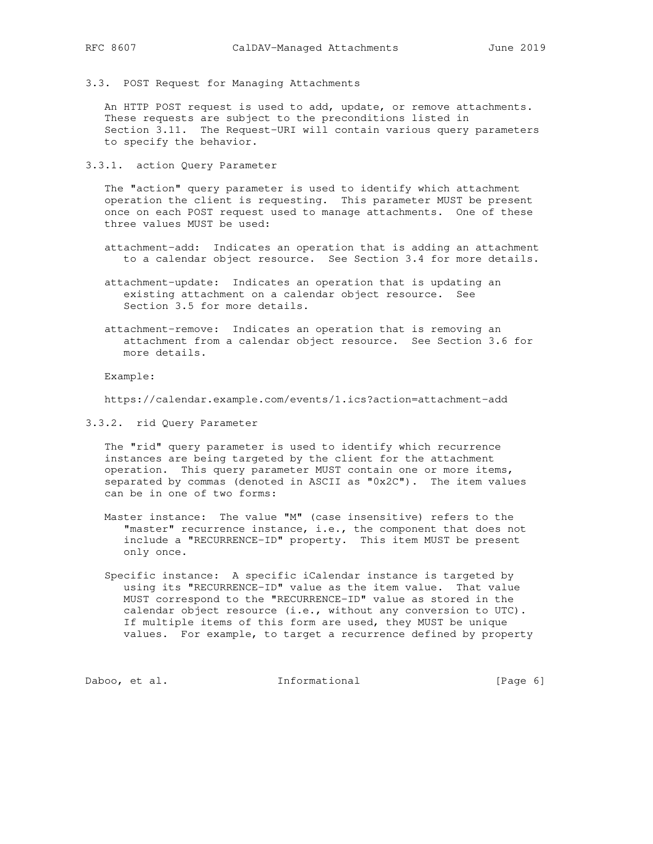- 
- 3.3. POST Request for Managing Attachments

 An HTTP POST request is used to add, update, or remove attachments. These requests are subject to the preconditions listed in Section 3.11. The Request-URI will contain various query parameters to specify the behavior.

3.3.1. action Query Parameter

 The "action" query parameter is used to identify which attachment operation the client is requesting. This parameter MUST be present once on each POST request used to manage attachments. One of these three values MUST be used:

- attachment-add: Indicates an operation that is adding an attachment to a calendar object resource. See Section 3.4 for more details.
- attachment-update: Indicates an operation that is updating an existing attachment on a calendar object resource. See Section 3.5 for more details.
- attachment-remove: Indicates an operation that is removing an attachment from a calendar object resource. See Section 3.6 for more details.

Example:

https://calendar.example.com/events/1.ics?action=attachment-add

3.3.2. rid Query Parameter

 The "rid" query parameter is used to identify which recurrence instances are being targeted by the client for the attachment operation. This query parameter MUST contain one or more items, separated by commas (denoted in ASCII as "0x2C"). The item values can be in one of two forms:

- Master instance: The value "M" (case insensitive) refers to the "master" recurrence instance, i.e., the component that does not include a "RECURRENCE-ID" property. This item MUST be present only once.
	- Specific instance: A specific iCalendar instance is targeted by using its "RECURRENCE-ID" value as the item value. That value MUST correspond to the "RECURRENCE-ID" value as stored in the calendar object resource (i.e., without any conversion to UTC). If multiple items of this form are used, they MUST be unique values. For example, to target a recurrence defined by property

Daboo, et al. 1nformational [Page 6]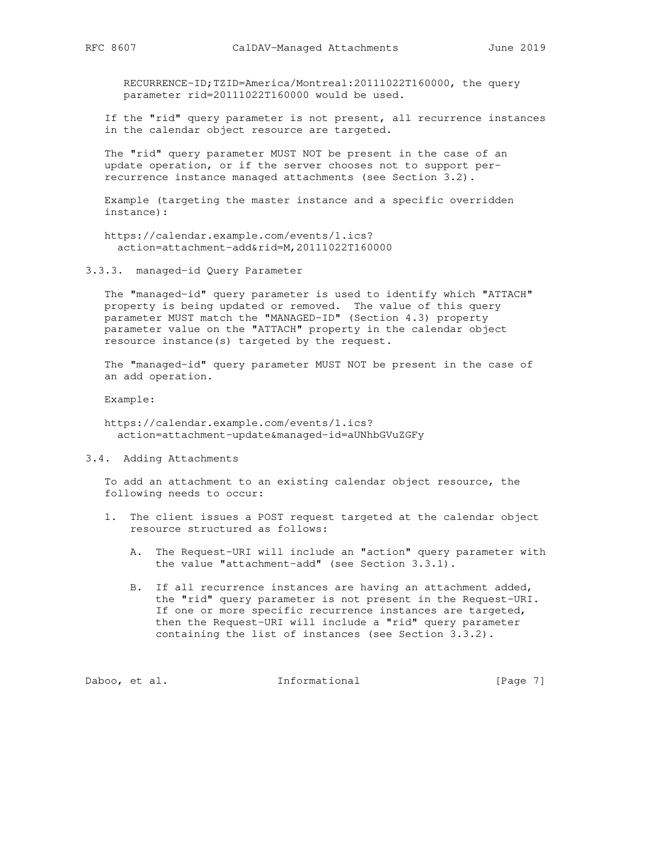RECURRENCE-ID;TZID=America/Montreal:20111022T160000, the query parameter rid=20111022T160000 would be used.

 If the "rid" query parameter is not present, all recurrence instances in the calendar object resource are targeted.

 The "rid" query parameter MUST NOT be present in the case of an update operation, or if the server chooses not to support per recurrence instance managed attachments (see Section 3.2).

 Example (targeting the master instance and a specific overridden instance):

 https://calendar.example.com/events/1.ics? action=attachment-add&rid=M,20111022T160000

3.3.3. managed-id Query Parameter

 The "managed-id" query parameter is used to identify which "ATTACH" property is being updated or removed. The value of this query parameter MUST match the "MANAGED-ID" (Section 4.3) property parameter value on the "ATTACH" property in the calendar object resource instance(s) targeted by the request.

 The "managed-id" query parameter MUST NOT be present in the case of an add operation.

Example:

 https://calendar.example.com/events/1.ics? action=attachment-update&managed-id=aUNhbGVuZGFy

3.4. Adding Attachments

 To add an attachment to an existing calendar object resource, the following needs to occur:

- 1. The client issues a POST request targeted at the calendar object resource structured as follows:
	- A. The Request-URI will include an "action" query parameter with the value "attachment-add" (see Section 3.3.1).
	- B. If all recurrence instances are having an attachment added, the "rid" query parameter is not present in the Request-URI. If one or more specific recurrence instances are targeted, then the Request-URI will include a "rid" query parameter containing the list of instances (see Section 3.3.2).

Daboo, et al. 1nformational [Page 7]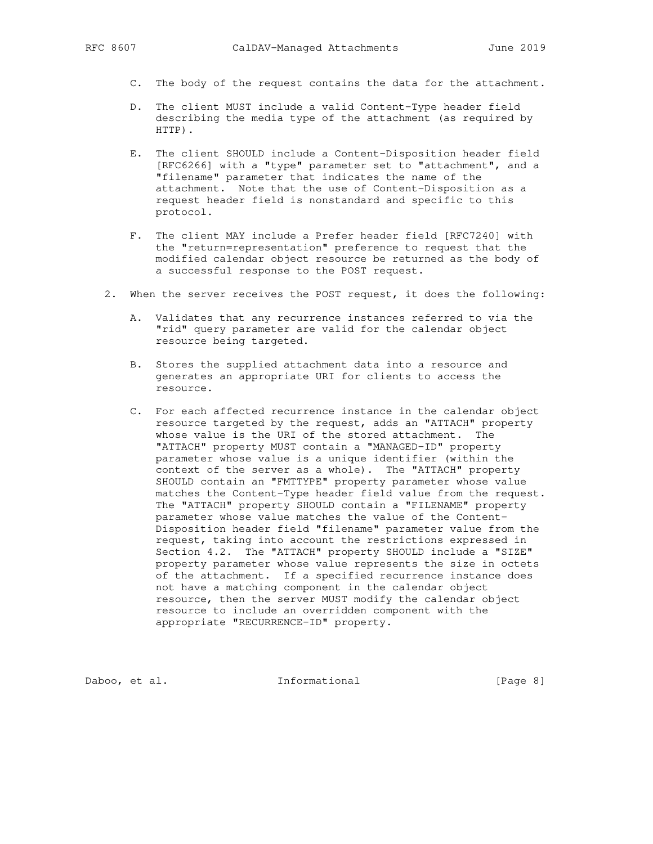- C. The body of the request contains the data for the attachment.
- D. The client MUST include a valid Content-Type header field describing the media type of the attachment (as required by HTTP).
- E. The client SHOULD include a Content-Disposition header field [RFC6266] with a "type" parameter set to "attachment", and a "filename" parameter that indicates the name of the attachment. Note that the use of Content-Disposition as a request header field is nonstandard and specific to this protocol.
- F. The client MAY include a Prefer header field [RFC7240] with the "return=representation" preference to request that the modified calendar object resource be returned as the body of a successful response to the POST request.
- 2. When the server receives the POST request, it does the following:
	- A. Validates that any recurrence instances referred to via the "rid" query parameter are valid for the calendar object resource being targeted.
	- B. Stores the supplied attachment data into a resource and generates an appropriate URI for clients to access the resource.
	- C. For each affected recurrence instance in the calendar object resource targeted by the request, adds an "ATTACH" property whose value is the URI of the stored attachment. The "ATTACH" property MUST contain a "MANAGED-ID" property parameter whose value is a unique identifier (within the context of the server as a whole). The "ATTACH" property SHOULD contain an "FMTTYPE" property parameter whose value matches the Content-Type header field value from the request. The "ATTACH" property SHOULD contain a "FILENAME" property parameter whose value matches the value of the Content- Disposition header field "filename" parameter value from the request, taking into account the restrictions expressed in Section 4.2. The "ATTACH" property SHOULD include a "SIZE" property parameter whose value represents the size in octets of the attachment. If a specified recurrence instance does not have a matching component in the calendar object resource, then the server MUST modify the calendar object resource to include an overridden component with the appropriate "RECURRENCE-ID" property.

Daboo, et al. 1nformational [Page 8]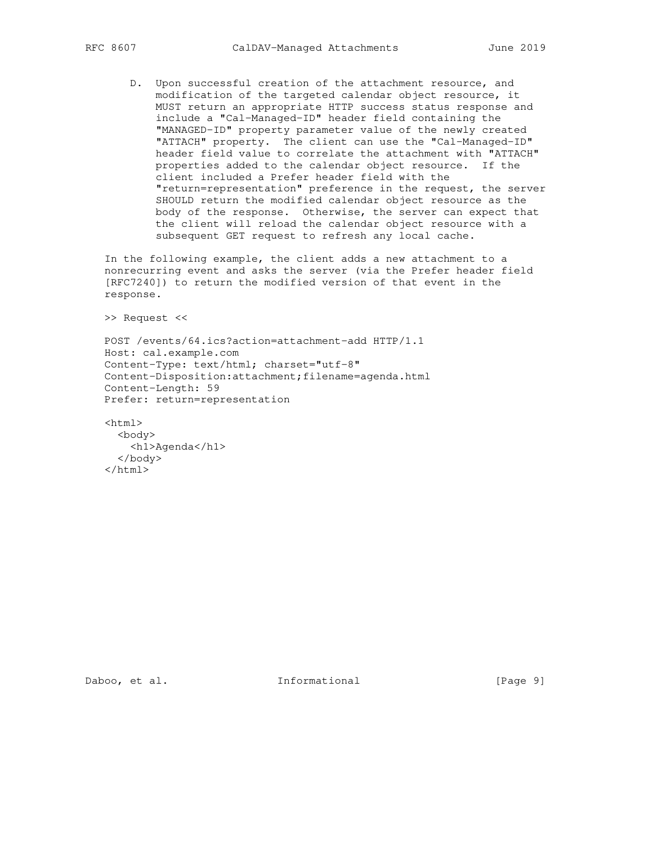D. Upon successful creation of the attachment resource, and modification of the targeted calendar object resource, it MUST return an appropriate HTTP success status response and include a "Cal-Managed-ID" header field containing the "MANAGED-ID" property parameter value of the newly created "ATTACH" property. The client can use the "Cal-Managed-ID" header field value to correlate the attachment with "ATTACH" properties added to the calendar object resource. If the client included a Prefer header field with the "return=representation" preference in the request, the server SHOULD return the modified calendar object resource as the body of the response. Otherwise, the server can expect that the client will reload the calendar object resource with a subsequent GET request to refresh any local cache.

 In the following example, the client adds a new attachment to a nonrecurring event and asks the server (via the Prefer header field [RFC7240]) to return the modified version of that event in the response.

>> Request <<

 POST /events/64.ics?action=attachment-add HTTP/1.1 Host: cal.example.com Content-Type: text/html; charset="utf-8" Content-Disposition:attachment;filename=agenda.html Content-Length: 59 Prefer: return=representation

 <html> <body> <h1>Agenda</h1> </body>  $\langle$ /html>

Daboo, et al. 1nformational [Page 9]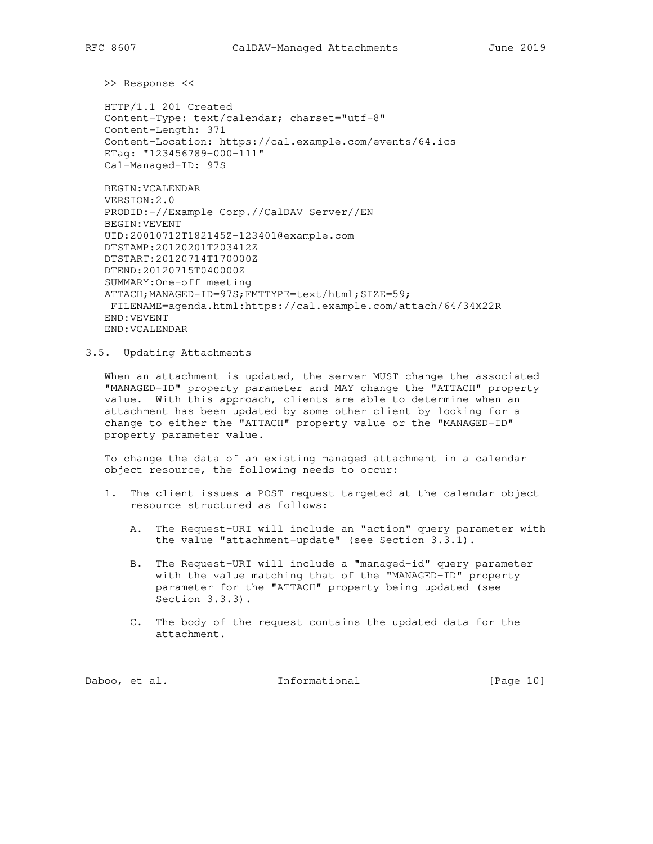>> Response <<

 HTTP/1.1 201 Created Content-Type: text/calendar; charset="utf-8" Content-Length: 371 Content-Location: https://cal.example.com/events/64.ics ETag: "123456789-000-111" Cal-Managed-ID: 97S

 BEGIN:VCALENDAR VERSION:2.0 PRODID:-//Example Corp.//CalDAV Server//EN BEGIN:VEVENT UID:20010712T182145Z-123401@example.com DTSTAMP:20120201T203412Z DTSTART:20120714T170000Z DTEND:20120715T040000Z SUMMARY:One-off meeting ATTACH;MANAGED-ID=97S;FMTTYPE=text/html;SIZE=59; FILENAME=agenda.html:https://cal.example.com/attach/64/34X22R END:VEVENT END:VCALENDAR

#### 3.5. Updating Attachments

 When an attachment is updated, the server MUST change the associated "MANAGED-ID" property parameter and MAY change the "ATTACH" property value. With this approach, clients are able to determine when an attachment has been updated by some other client by looking for a change to either the "ATTACH" property value or the "MANAGED-ID" property parameter value.

 To change the data of an existing managed attachment in a calendar object resource, the following needs to occur:

- 1. The client issues a POST request targeted at the calendar object resource structured as follows:
	- A. The Request-URI will include an "action" query parameter with the value "attachment-update" (see Section 3.3.1).
	- B. The Request-URI will include a "managed-id" query parameter with the value matching that of the "MANAGED-ID" property parameter for the "ATTACH" property being updated (see Section 3.3.3).
	- C. The body of the request contains the updated data for the attachment.

Daboo, et al. 10 Informational 10 [Page 10]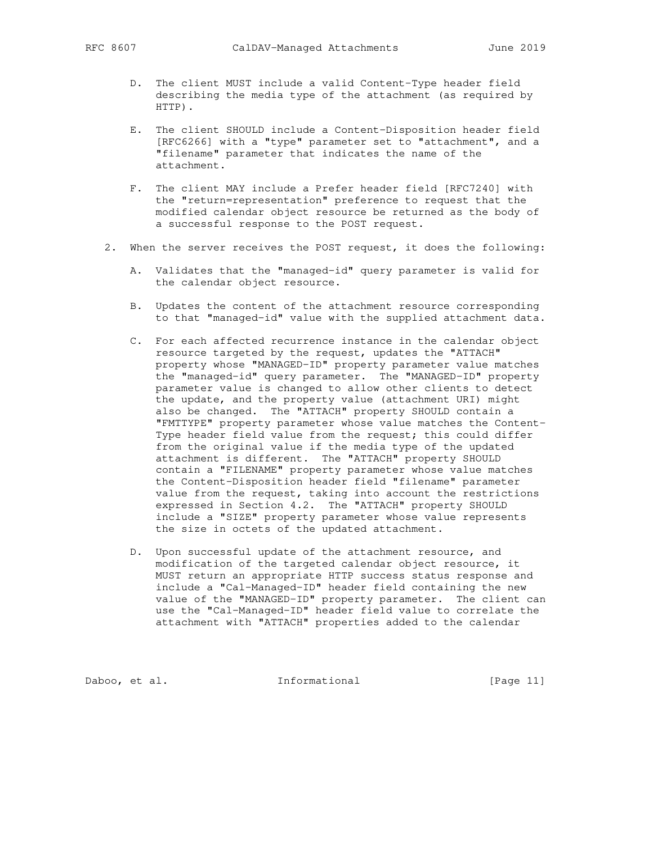- D. The client MUST include a valid Content-Type header field describing the media type of the attachment (as required by HTTP).
- E. The client SHOULD include a Content-Disposition header field [RFC6266] with a "type" parameter set to "attachment", and a "filename" parameter that indicates the name of the attachment.
- F. The client MAY include a Prefer header field [RFC7240] with the "return=representation" preference to request that the modified calendar object resource be returned as the body of a successful response to the POST request.
- 2. When the server receives the POST request, it does the following:
	- A. Validates that the "managed-id" query parameter is valid for the calendar object resource.
	- B. Updates the content of the attachment resource corresponding to that "managed-id" value with the supplied attachment data.
- C. For each affected recurrence instance in the calendar object resource targeted by the request, updates the "ATTACH" property whose "MANAGED-ID" property parameter value matches the "managed-id" query parameter. The "MANAGED-ID" property parameter value is changed to allow other clients to detect the update, and the property value (attachment URI) might also be changed. The "ATTACH" property SHOULD contain a "FMTTYPE" property parameter whose value matches the Content- Type header field value from the request; this could differ from the original value if the media type of the updated attachment is different. The "ATTACH" property SHOULD contain a "FILENAME" property parameter whose value matches the Content-Disposition header field "filename" parameter value from the request, taking into account the restrictions expressed in Section 4.2. The "ATTACH" property SHOULD include a "SIZE" property parameter whose value represents the size in octets of the updated attachment.
	- D. Upon successful update of the attachment resource, and modification of the targeted calendar object resource, it MUST return an appropriate HTTP success status response and include a "Cal-Managed-ID" header field containing the new value of the "MANAGED-ID" property parameter. The client can use the "Cal-Managed-ID" header field value to correlate the attachment with "ATTACH" properties added to the calendar

Daboo, et al. 1nformational [Page 11]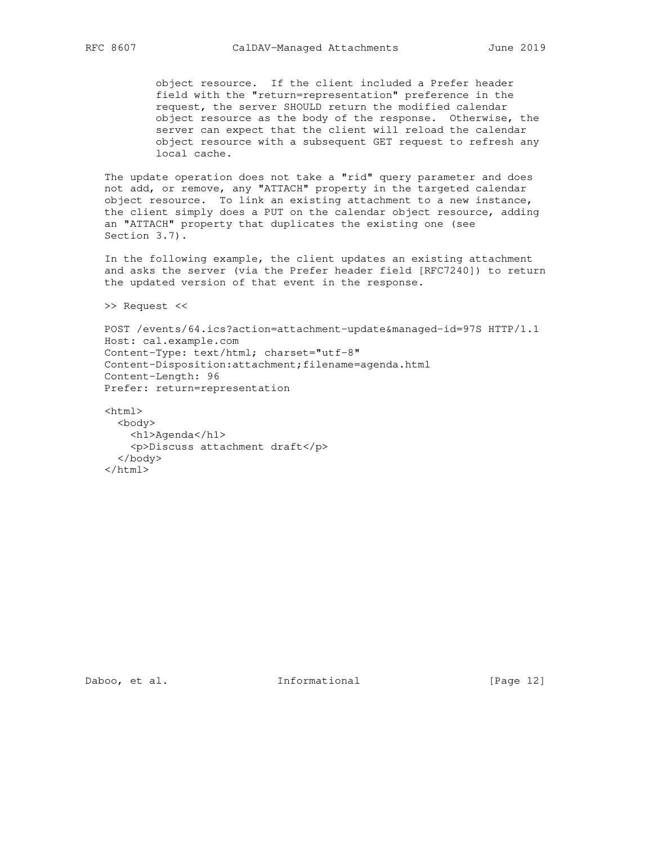object resource. If the client included a Prefer header field with the "return=representation" preference in the request, the server SHOULD return the modified calendar object resource as the body of the response. Otherwise, the server can expect that the client will reload the calendar object resource with a subsequent GET request to refresh any local cache.

 The update operation does not take a "rid" query parameter and does not add, or remove, any "ATTACH" property in the targeted calendar object resource. To link an existing attachment to a new instance, the client simply does a PUT on the calendar object resource, adding an "ATTACH" property that duplicates the existing one (see Section 3.7).

 In the following example, the client updates an existing attachment and asks the server (via the Prefer header field [RFC7240]) to return the updated version of that event in the response.

>> Request <<

 POST /events/64.ics?action=attachment-update&managed-id=97S HTTP/1.1 Host: cal.example.com Content-Type: text/html; charset="utf-8" Content-Disposition:attachment;filename=agenda.html Content-Length: 96 Prefer: return=representation

 <html> <body> <h1>Agenda</h1> <p>Discuss attachment draft</p> </body>  $\langle$ /html>

Daboo, et al. 1nformational [Page 12]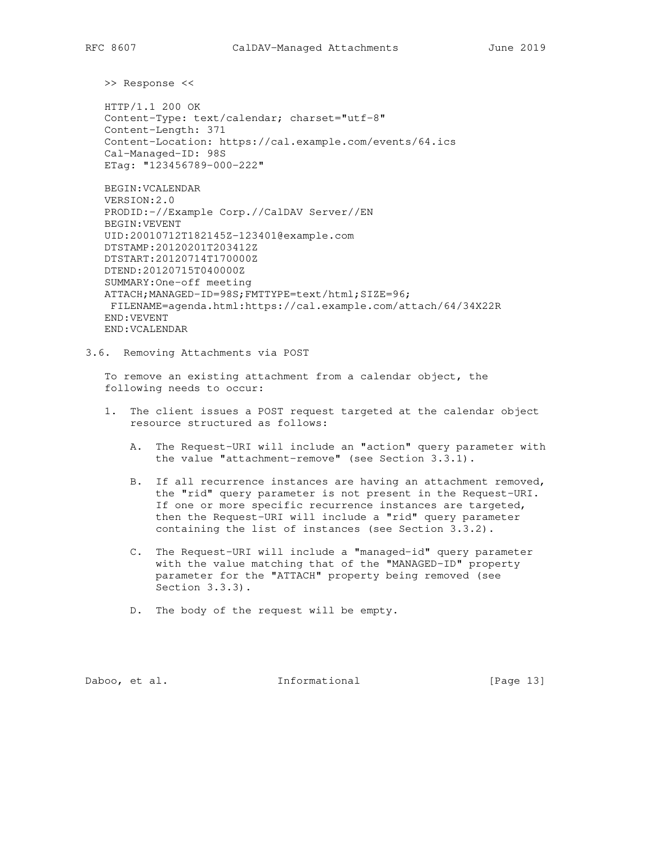>> Response <<

 HTTP/1.1 200 OK Content-Type: text/calendar; charset="utf-8" Content-Length: 371 Content-Location: https://cal.example.com/events/64.ics Cal-Managed-ID: 98S ETag: "123456789-000-222"

 BEGIN:VCALENDAR VERSION:2.0 PRODID:-//Example Corp.//CalDAV Server//EN BEGIN:VEVENT UID:20010712T182145Z-123401@example.com DTSTAMP:20120201T203412Z DTSTART:20120714T170000Z DTEND:20120715T040000Z SUMMARY:One-off meeting ATTACH;MANAGED-ID=98S;FMTTYPE=text/html;SIZE=96; FILENAME=agenda.html:https://cal.example.com/attach/64/34X22R END:VEVENT END:VCALENDAR

3.6. Removing Attachments via POST

 To remove an existing attachment from a calendar object, the following needs to occur:

- 1. The client issues a POST request targeted at the calendar object resource structured as follows:
	- A. The Request-URI will include an "action" query parameter with the value "attachment-remove" (see Section 3.3.1).
	- B. If all recurrence instances are having an attachment removed, the "rid" query parameter is not present in the Request-URI. If one or more specific recurrence instances are targeted, then the Request-URI will include a "rid" query parameter containing the list of instances (see Section 3.3.2).
	- C. The Request-URI will include a "managed-id" query parameter with the value matching that of the "MANAGED-ID" property parameter for the "ATTACH" property being removed (see Section 3.3.3).
	- D. The body of the request will be empty.

Daboo, et al. 1nformational [Page 13]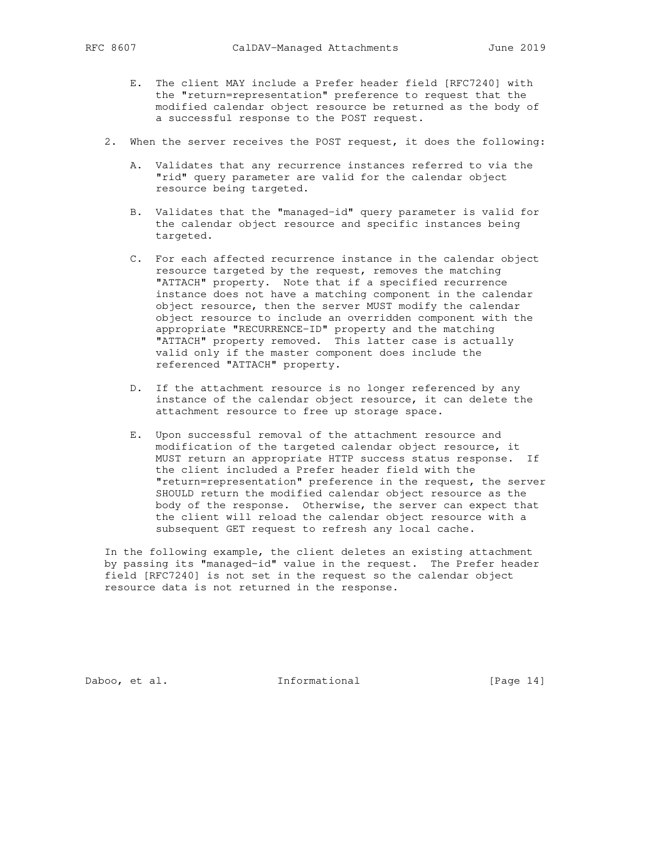- E. The client MAY include a Prefer header field [RFC7240] with the "return=representation" preference to request that the modified calendar object resource be returned as the body of a successful response to the POST request.
- 2. When the server receives the POST request, it does the following:
	- A. Validates that any recurrence instances referred to via the "rid" query parameter are valid for the calendar object resource being targeted.
	- B. Validates that the "managed-id" query parameter is valid for the calendar object resource and specific instances being targeted.
	- C. For each affected recurrence instance in the calendar object resource targeted by the request, removes the matching "ATTACH" property. Note that if a specified recurrence instance does not have a matching component in the calendar object resource, then the server MUST modify the calendar object resource to include an overridden component with the appropriate "RECURRENCE-ID" property and the matching "ATTACH" property removed. This latter case is actually valid only if the master component does include the referenced "ATTACH" property.
	- D. If the attachment resource is no longer referenced by any instance of the calendar object resource, it can delete the attachment resource to free up storage space.
	- E. Upon successful removal of the attachment resource and modification of the targeted calendar object resource, it MUST return an appropriate HTTP success status response. If the client included a Prefer header field with the "return=representation" preference in the request, the server SHOULD return the modified calendar object resource as the body of the response. Otherwise, the server can expect that the client will reload the calendar object resource with a subsequent GET request to refresh any local cache.

 In the following example, the client deletes an existing attachment by passing its "managed-id" value in the request. The Prefer header field [RFC7240] is not set in the request so the calendar object resource data is not returned in the response.

Daboo, et al. 1nformational [Page 14]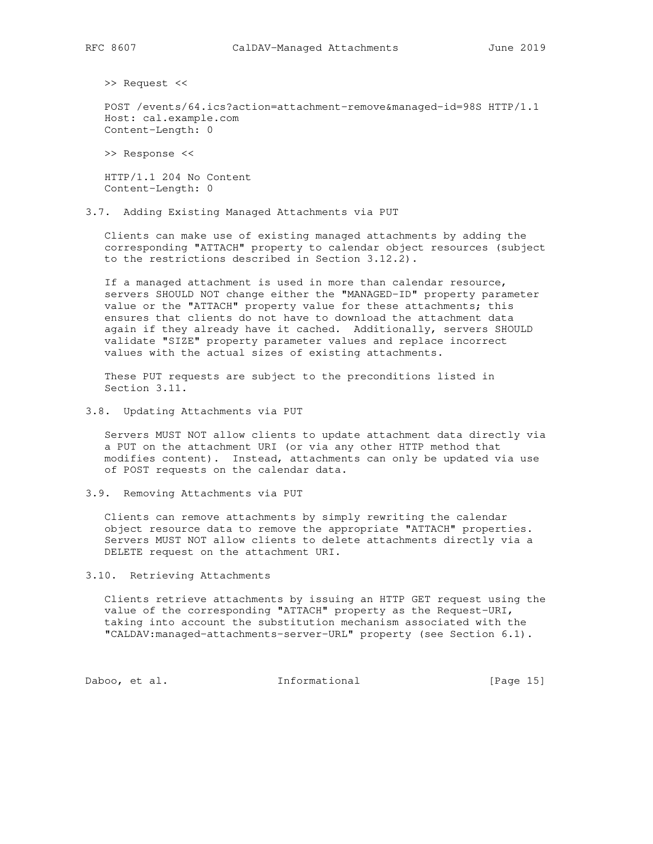>> Request <<

 POST /events/64.ics?action=attachment-remove&managed-id=98S HTTP/1.1 Host: cal.example.com Content-Length: 0

>> Response <<

 HTTP/1.1 204 No Content Content-Length: 0

3.7. Adding Existing Managed Attachments via PUT

 Clients can make use of existing managed attachments by adding the corresponding "ATTACH" property to calendar object resources (subject to the restrictions described in Section 3.12.2).

 If a managed attachment is used in more than calendar resource, servers SHOULD NOT change either the "MANAGED-ID" property parameter value or the "ATTACH" property value for these attachments; this ensures that clients do not have to download the attachment data again if they already have it cached. Additionally, servers SHOULD validate "SIZE" property parameter values and replace incorrect values with the actual sizes of existing attachments.

 These PUT requests are subject to the preconditions listed in Section 3.11.

3.8. Updating Attachments via PUT

 Servers MUST NOT allow clients to update attachment data directly via a PUT on the attachment URI (or via any other HTTP method that modifies content). Instead, attachments can only be updated via use of POST requests on the calendar data.

3.9. Removing Attachments via PUT

 Clients can remove attachments by simply rewriting the calendar object resource data to remove the appropriate "ATTACH" properties. Servers MUST NOT allow clients to delete attachments directly via a DELETE request on the attachment URI.

3.10. Retrieving Attachments

 Clients retrieve attachments by issuing an HTTP GET request using the value of the corresponding "ATTACH" property as the Request-URI, taking into account the substitution mechanism associated with the "CALDAV:managed-attachments-server-URL" property (see Section 6.1).

Daboo, et al. 10 Informational 1999 [Page 15]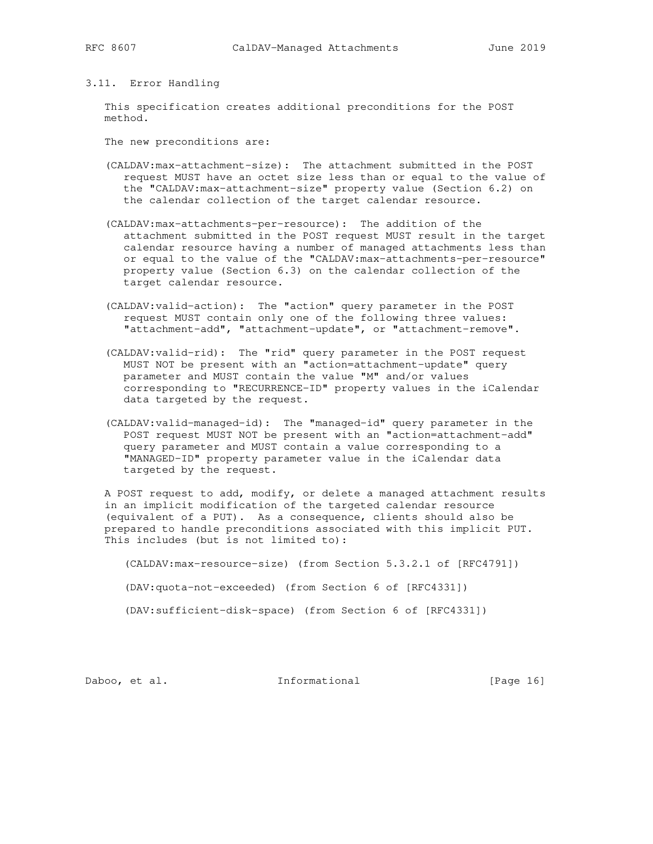## 3.11. Error Handling

 This specification creates additional preconditions for the POST method.

The new preconditions are:

- (CALDAV:max-attachment-size): The attachment submitted in the POST request MUST have an octet size less than or equal to the value of the "CALDAV:max-attachment-size" property value (Section 6.2) on the calendar collection of the target calendar resource.
- (CALDAV:max-attachments-per-resource): The addition of the attachment submitted in the POST request MUST result in the target calendar resource having a number of managed attachments less than or equal to the value of the "CALDAV:max-attachments-per-resource" property value (Section 6.3) on the calendar collection of the target calendar resource.
- (CALDAV:valid-action): The "action" query parameter in the POST request MUST contain only one of the following three values: "attachment-add", "attachment-update", or "attachment-remove".
- (CALDAV:valid-rid): The "rid" query parameter in the POST request MUST NOT be present with an "action=attachment-update" query parameter and MUST contain the value "M" and/or values corresponding to "RECURRENCE-ID" property values in the iCalendar data targeted by the request.
- (CALDAV:valid-managed-id): The "managed-id" query parameter in the POST request MUST NOT be present with an "action=attachment-add" query parameter and MUST contain a value corresponding to a "MANAGED-ID" property parameter value in the iCalendar data targeted by the request.

 A POST request to add, modify, or delete a managed attachment results in an implicit modification of the targeted calendar resource (equivalent of a PUT). As a consequence, clients should also be prepared to handle preconditions associated with this implicit PUT. This includes (but is not limited to):

(CALDAV:max-resource-size) (from Section 5.3.2.1 of [RFC4791])

(DAV:quota-not-exceeded) (from Section 6 of [RFC4331])

(DAV:sufficient-disk-space) (from Section 6 of [RFC4331])

Daboo, et al. 1nformational [Page 16]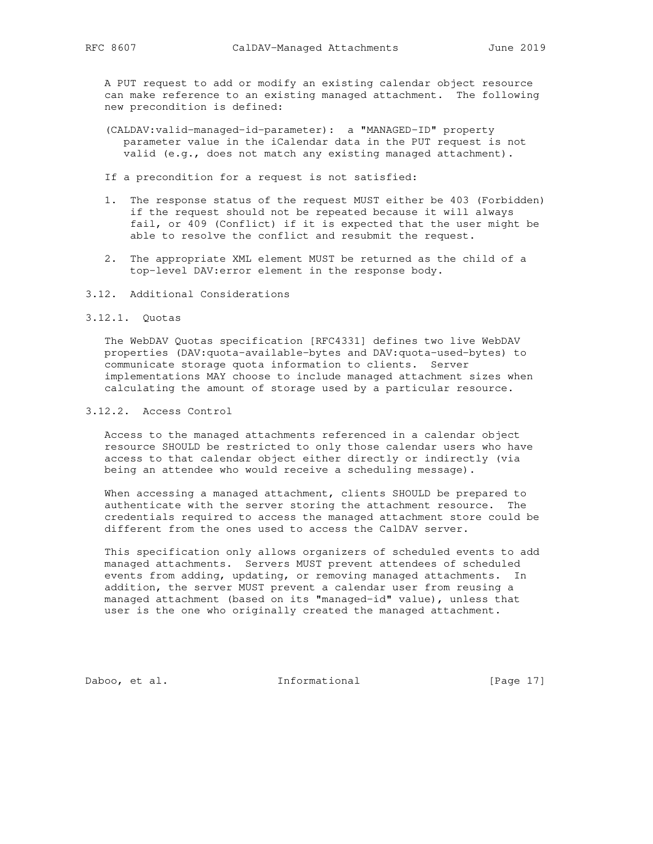A PUT request to add or modify an existing calendar object resource can make reference to an existing managed attachment. The following new precondition is defined:

 (CALDAV:valid-managed-id-parameter): a "MANAGED-ID" property parameter value in the iCalendar data in the PUT request is not valid (e.g., does not match any existing managed attachment).

If a precondition for a request is not satisfied:

- 1. The response status of the request MUST either be 403 (Forbidden) if the request should not be repeated because it will always fail, or 409 (Conflict) if it is expected that the user might be able to resolve the conflict and resubmit the request.
- 2. The appropriate XML element MUST be returned as the child of a top-level DAV:error element in the response body.
- 3.12. Additional Considerations
- 3.12.1. Quotas

 The WebDAV Quotas specification [RFC4331] defines two live WebDAV properties (DAV:quota-available-bytes and DAV:quota-used-bytes) to communicate storage quota information to clients. Server implementations MAY choose to include managed attachment sizes when calculating the amount of storage used by a particular resource.

## 3.12.2. Access Control

 Access to the managed attachments referenced in a calendar object resource SHOULD be restricted to only those calendar users who have access to that calendar object either directly or indirectly (via being an attendee who would receive a scheduling message).

 When accessing a managed attachment, clients SHOULD be prepared to authenticate with the server storing the attachment resource. The credentials required to access the managed attachment store could be different from the ones used to access the CalDAV server.

 This specification only allows organizers of scheduled events to add managed attachments. Servers MUST prevent attendees of scheduled events from adding, updating, or removing managed attachments. In addition, the server MUST prevent a calendar user from reusing a managed attachment (based on its "managed-id" value), unless that user is the one who originally created the managed attachment.

Daboo, et al. 1nformational [Page 17]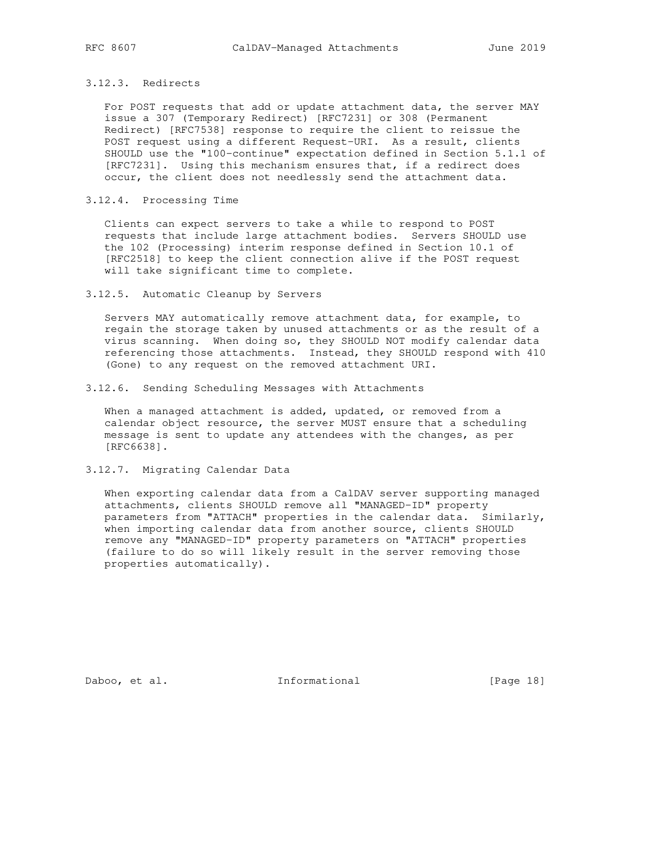## 3.12.3. Redirects

 For POST requests that add or update attachment data, the server MAY issue a 307 (Temporary Redirect) [RFC7231] or 308 (Permanent Redirect) [RFC7538] response to require the client to reissue the POST request using a different Request-URI. As a result, clients SHOULD use the "100-continue" expectation defined in Section 5.1.1 of [RFC7231]. Using this mechanism ensures that, if a redirect does occur, the client does not needlessly send the attachment data.

#### 3.12.4. Processing Time

 Clients can expect servers to take a while to respond to POST requests that include large attachment bodies. Servers SHOULD use the 102 (Processing) interim response defined in Section 10.1 of [RFC2518] to keep the client connection alive if the POST request will take significant time to complete.

#### 3.12.5. Automatic Cleanup by Servers

 Servers MAY automatically remove attachment data, for example, to regain the storage taken by unused attachments or as the result of a virus scanning. When doing so, they SHOULD NOT modify calendar data referencing those attachments. Instead, they SHOULD respond with 410 (Gone) to any request on the removed attachment URI.

## 3.12.6. Sending Scheduling Messages with Attachments

When a managed attachment is added, updated, or removed from a calendar object resource, the server MUST ensure that a scheduling message is sent to update any attendees with the changes, as per [RFC6638].

## 3.12.7. Migrating Calendar Data

 When exporting calendar data from a CalDAV server supporting managed attachments, clients SHOULD remove all "MANAGED-ID" property parameters from "ATTACH" properties in the calendar data. Similarly, when importing calendar data from another source, clients SHOULD remove any "MANAGED-ID" property parameters on "ATTACH" properties (failure to do so will likely result in the server removing those properties automatically).

Daboo, et al. 1nformational [Page 18]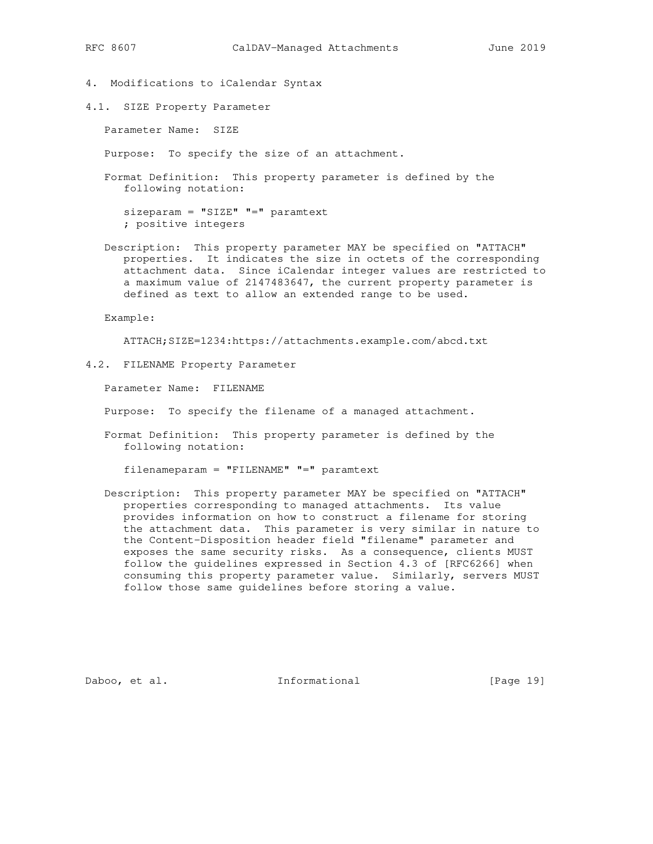- 4. Modifications to iCalendar Syntax
- 4.1. SIZE Property Parameter

Parameter Name: SIZE

Purpose: To specify the size of an attachment.

 Format Definition: This property parameter is defined by the following notation:

 sizeparam = "SIZE" "=" paramtext ; positive integers

 Description: This property parameter MAY be specified on "ATTACH" properties. It indicates the size in octets of the corresponding attachment data. Since iCalendar integer values are restricted to a maximum value of 2147483647, the current property parameter is defined as text to allow an extended range to be used.

Example:

ATTACH;SIZE=1234:https://attachments.example.com/abcd.txt

4.2. FILENAME Property Parameter

Parameter Name: FILENAME

Purpose: To specify the filename of a managed attachment.

 Format Definition: This property parameter is defined by the following notation:

filenameparam = "FILENAME" "=" paramtext

 Description: This property parameter MAY be specified on "ATTACH" properties corresponding to managed attachments. Its value provides information on how to construct a filename for storing the attachment data. This parameter is very similar in nature to the Content-Disposition header field "filename" parameter and exposes the same security risks. As a consequence, clients MUST follow the guidelines expressed in Section 4.3 of [RFC6266] when consuming this property parameter value. Similarly, servers MUST follow those same guidelines before storing a value.

Daboo, et al. 1nformational [Page 19]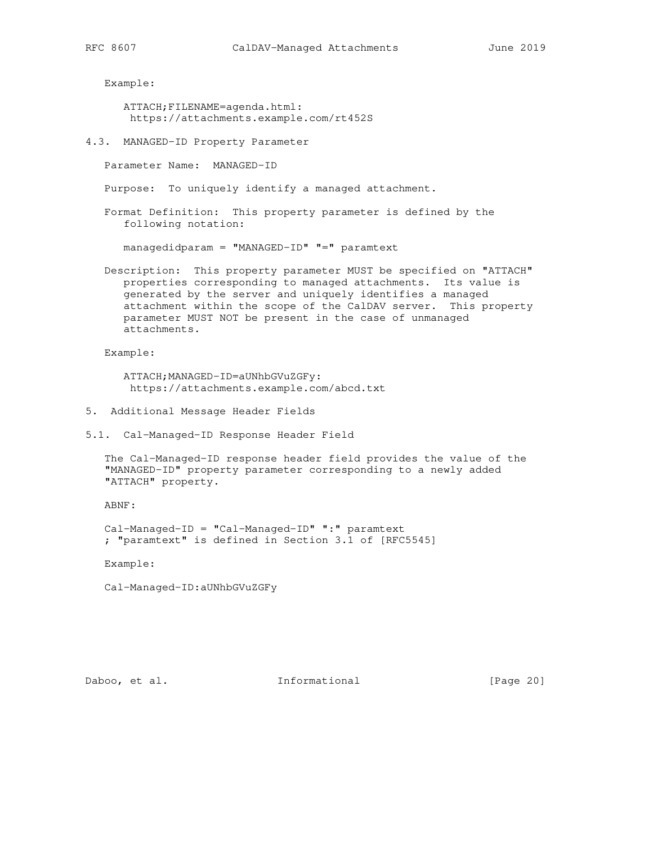Example:

 ATTACH;FILENAME=agenda.html: https://attachments.example.com/rt452S

4.3. MANAGED-ID Property Parameter

Parameter Name: MANAGED-ID

Purpose: To uniquely identify a managed attachment.

 Format Definition: This property parameter is defined by the following notation:

managedidparam = "MANAGED-ID" "=" paramtext

 Description: This property parameter MUST be specified on "ATTACH" properties corresponding to managed attachments. Its value is generated by the server and uniquely identifies a managed attachment within the scope of the CalDAV server. This property parameter MUST NOT be present in the case of unmanaged attachments.

Example:

 ATTACH;MANAGED-ID=aUNhbGVuZGFy: https://attachments.example.com/abcd.txt

5. Additional Message Header Fields

5.1. Cal-Managed-ID Response Header Field

 The Cal-Managed-ID response header field provides the value of the "MANAGED-ID" property parameter corresponding to a newly added "ATTACH" property.

ABNF:

 Cal-Managed-ID = "Cal-Managed-ID" ":" paramtext ; "paramtext" is defined in Section 3.1 of [RFC5545]

Example:

Cal-Managed-ID:aUNhbGVuZGFy

Daboo, et al. 1nformational [Page 20]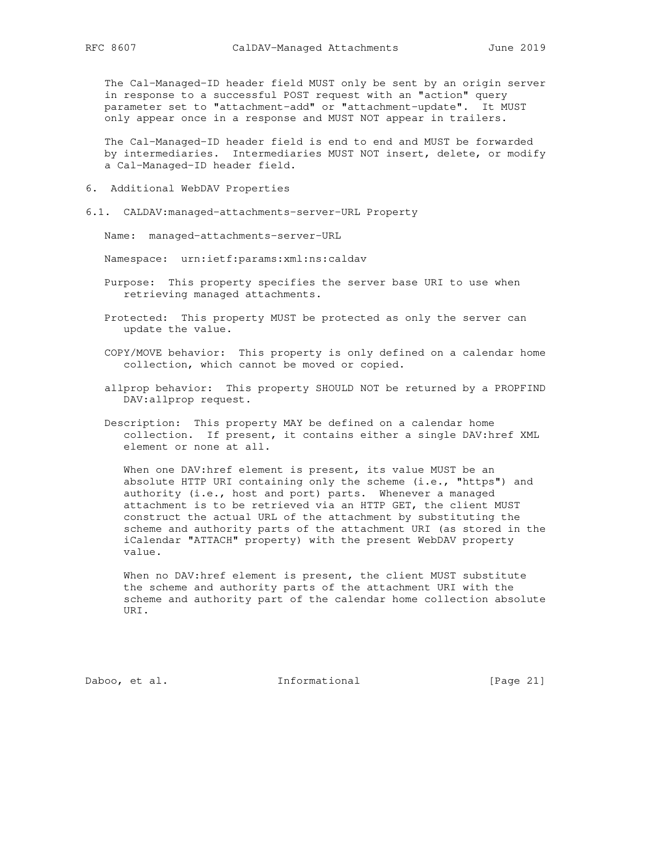The Cal-Managed-ID header field MUST only be sent by an origin server in response to a successful POST request with an "action" query parameter set to "attachment-add" or "attachment-update". It MUST only appear once in a response and MUST NOT appear in trailers.

 The Cal-Managed-ID header field is end to end and MUST be forwarded by intermediaries. Intermediaries MUST NOT insert, delete, or modify a Cal-Managed-ID header field.

- 6. Additional WebDAV Properties
- 6.1. CALDAV:managed-attachments-server-URL Property

Name: managed-attachments-server-URL

Namespace: urn:ietf:params:xml:ns:caldav

- Purpose: This property specifies the server base URI to use when retrieving managed attachments.
- Protected: This property MUST be protected as only the server can update the value.
- COPY/MOVE behavior: This property is only defined on a calendar home collection, which cannot be moved or copied.
- allprop behavior: This property SHOULD NOT be returned by a PROPFIND DAV:allprop request.
- Description: This property MAY be defined on a calendar home collection. If present, it contains either a single DAV:href XML element or none at all.

 When one DAV:href element is present, its value MUST be an absolute HTTP URI containing only the scheme (i.e., "https") and authority (i.e., host and port) parts. Whenever a managed attachment is to be retrieved via an HTTP GET, the client MUST construct the actual URL of the attachment by substituting the scheme and authority parts of the attachment URI (as stored in the iCalendar "ATTACH" property) with the present WebDAV property value.

 When no DAV:href element is present, the client MUST substitute the scheme and authority parts of the attachment URI with the scheme and authority part of the calendar home collection absolute URI.

Daboo, et al. 1nformational [Page 21]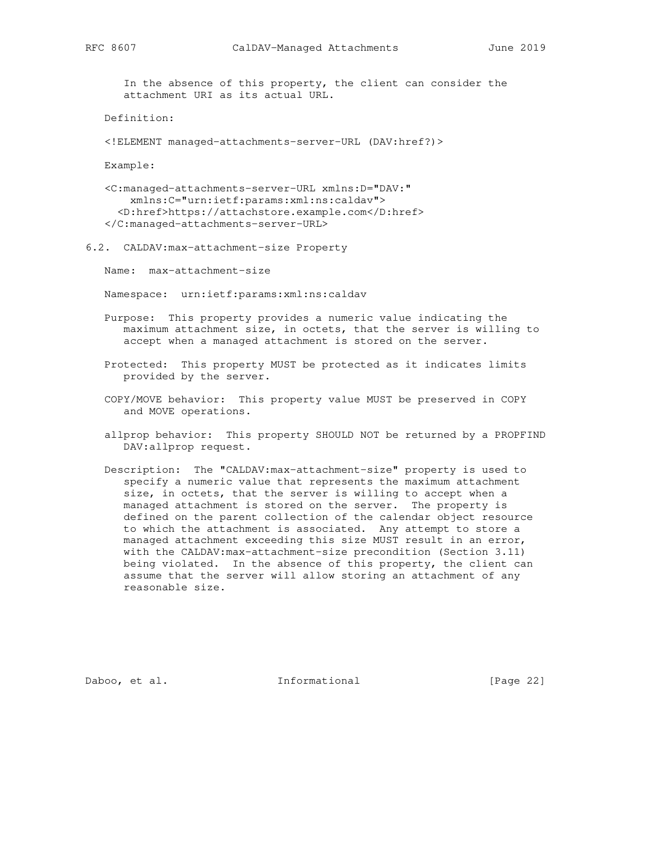In the absence of this property, the client can consider the attachment URI as its actual URL.

Definition:

<!ELEMENT managed-attachments-server-URL (DAV:href?)>

Example:

 <C:managed-attachments-server-URL xmlns:D="DAV:" xmlns:C="urn:ietf:params:xml:ns:caldav"> <D:href>https://attachstore.example.com</D:href> </C:managed-attachments-server-URL>

6.2. CALDAV:max-attachment-size Property

Name: max-attachment-size

Namespace: urn:ietf:params:xml:ns:caldav

- Purpose: This property provides a numeric value indicating the maximum attachment size, in octets, that the server is willing to accept when a managed attachment is stored on the server.
- Protected: This property MUST be protected as it indicates limits provided by the server.
- COPY/MOVE behavior: This property value MUST be preserved in COPY and MOVE operations.
- allprop behavior: This property SHOULD NOT be returned by a PROPFIND DAV:allprop request.
- Description: The "CALDAV:max-attachment-size" property is used to specify a numeric value that represents the maximum attachment size, in octets, that the server is willing to accept when a managed attachment is stored on the server. The property is defined on the parent collection of the calendar object resource to which the attachment is associated. Any attempt to store a managed attachment exceeding this size MUST result in an error, with the CALDAV:max-attachment-size precondition (Section 3.11) being violated. In the absence of this property, the client can assume that the server will allow storing an attachment of any reasonable size.

Daboo, et al. 1nformational [Page 22]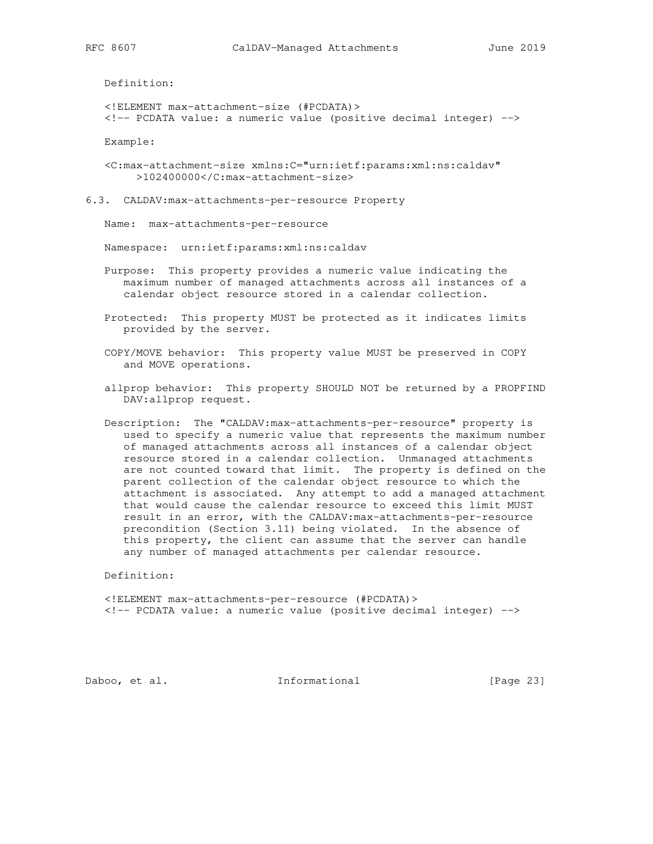Definition:

 <!ELEMENT max-attachment-size (#PCDATA)> <!-- PCDATA value: a numeric value (positive decimal integer) -->

Example:

 <C:max-attachment-size xmlns:C="urn:ietf:params:xml:ns:caldav" >102400000</C:max-attachment-size>

6.3. CALDAV:max-attachments-per-resource Property

Name: max-attachments-per-resource

Namespace: urn:ietf:params:xml:ns:caldav

 Purpose: This property provides a numeric value indicating the maximum number of managed attachments across all instances of a calendar object resource stored in a calendar collection.

 Protected: This property MUST be protected as it indicates limits provided by the server.

 COPY/MOVE behavior: This property value MUST be preserved in COPY and MOVE operations.

- allprop behavior: This property SHOULD NOT be returned by a PROPFIND DAV:allprop request.
- Description: The "CALDAV:max-attachments-per-resource" property is used to specify a numeric value that represents the maximum number of managed attachments across all instances of a calendar object resource stored in a calendar collection. Unmanaged attachments are not counted toward that limit. The property is defined on the parent collection of the calendar object resource to which the attachment is associated. Any attempt to add a managed attachment that would cause the calendar resource to exceed this limit MUST result in an error, with the CALDAV:max-attachments-per-resource precondition (Section 3.11) being violated. In the absence of this property, the client can assume that the server can handle any number of managed attachments per calendar resource.

Definition:

 <!ELEMENT max-attachments-per-resource (#PCDATA)> <!-- PCDATA value: a numeric value (positive decimal integer) -->

Daboo, et al. 1nformational [Page 23]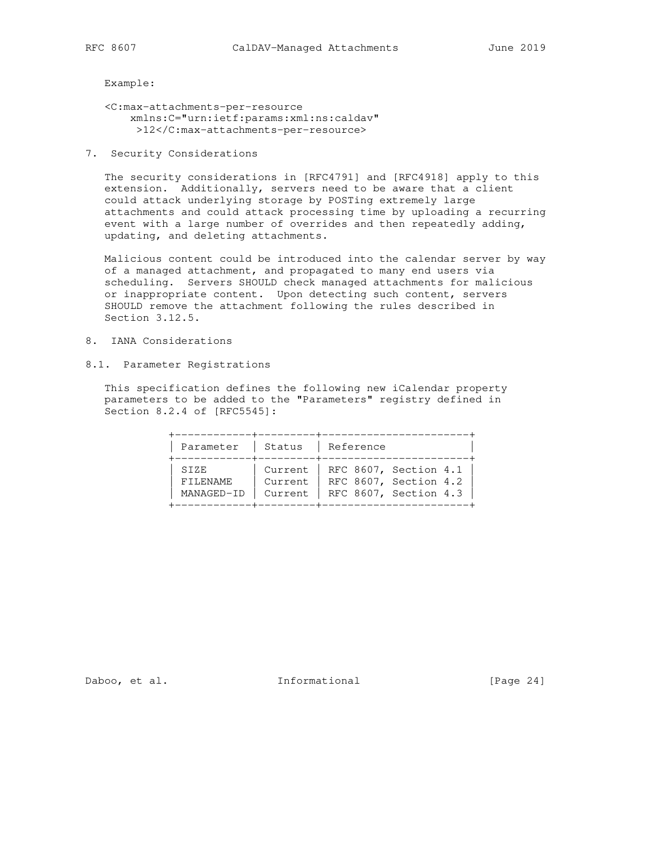Example:

- <C:max-attachments-per-resource xmlns:C="urn:ietf:params:xml:ns:caldav" >12</C:max-attachments-per-resource>
- 7. Security Considerations

 The security considerations in [RFC4791] and [RFC4918] apply to this extension. Additionally, servers need to be aware that a client could attack underlying storage by POSTing extremely large attachments and could attack processing time by uploading a recurring event with a large number of overrides and then repeatedly adding, updating, and deleting attachments.

 Malicious content could be introduced into the calendar server by way of a managed attachment, and propagated to many end users via scheduling. Servers SHOULD check managed attachments for malicious or inappropriate content. Upon detecting such content, servers SHOULD remove the attachment following the rules described in Section 3.12.5.

- 8. IANA Considerations
- 8.1. Parameter Registrations

 This specification defines the following new iCalendar property parameters to be added to the "Parameters" registry defined in Section 8.2.4 of [RFC5545]:

| Parameter  | Status  | Reference             |  |
|------------|---------|-----------------------|--|
| SIZE       | Current | RFC 8607, Section 4.1 |  |
| FILENAME   | Current | RFC 8607, Section 4.2 |  |
| MANAGED-ID | Current | RFC 8607, Section 4.3 |  |

Daboo, et al. 1nformational [Page 24]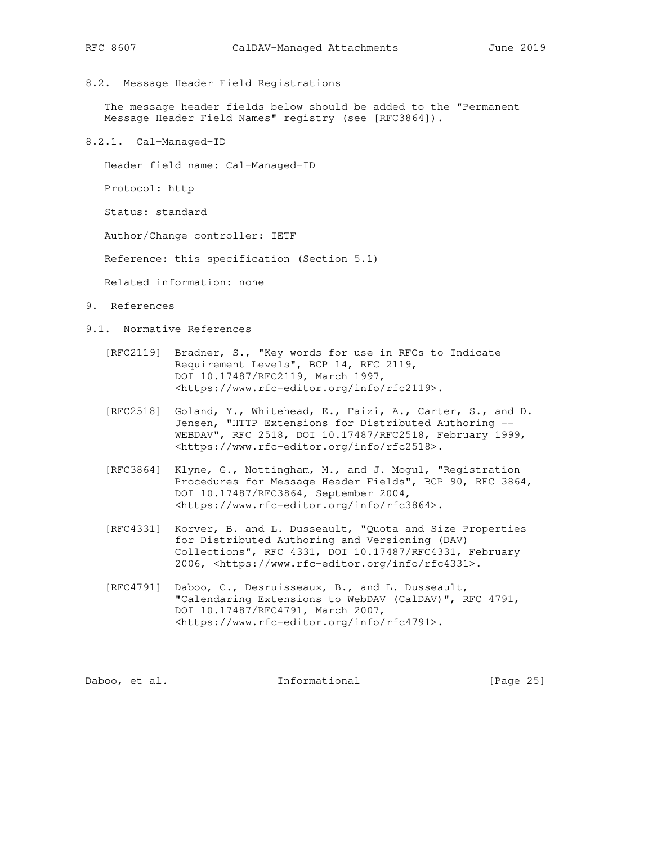8.2. Message Header Field Registrations

 The message header fields below should be added to the "Permanent Message Header Field Names" registry (see [RFC3864]).

8.2.1. Cal-Managed-ID

Header field name: Cal-Managed-ID

Protocol: http

Status: standard

Author/Change controller: IETF

Reference: this specification (Section 5.1)

Related information: none

- 9. References
- 9.1. Normative References
	- [RFC2119] Bradner, S., "Key words for use in RFCs to Indicate Requirement Levels", BCP 14, RFC 2119, DOI 10.17487/RFC2119, March 1997, <https://www.rfc-editor.org/info/rfc2119>.
	- [RFC2518] Goland, Y., Whitehead, E., Faizi, A., Carter, S., and D. Jensen, "HTTP Extensions for Distributed Authoring -- WEBDAV", RFC 2518, DOI 10.17487/RFC2518, February 1999, <https://www.rfc-editor.org/info/rfc2518>.
	- [RFC3864] Klyne, G., Nottingham, M., and J. Mogul, "Registration Procedures for Message Header Fields", BCP 90, RFC 3864, DOI 10.17487/RFC3864, September 2004, <https://www.rfc-editor.org/info/rfc3864>.
	- [RFC4331] Korver, B. and L. Dusseault, "Quota and Size Properties for Distributed Authoring and Versioning (DAV) Collections", RFC 4331, DOI 10.17487/RFC4331, February 2006, <https://www.rfc-editor.org/info/rfc4331>.
	- [RFC4791] Daboo, C., Desruisseaux, B., and L. Dusseault, "Calendaring Extensions to WebDAV (CalDAV)", RFC 4791, DOI 10.17487/RFC4791, March 2007, <https://www.rfc-editor.org/info/rfc4791>.

Daboo, et al. 1nformational [Page 25]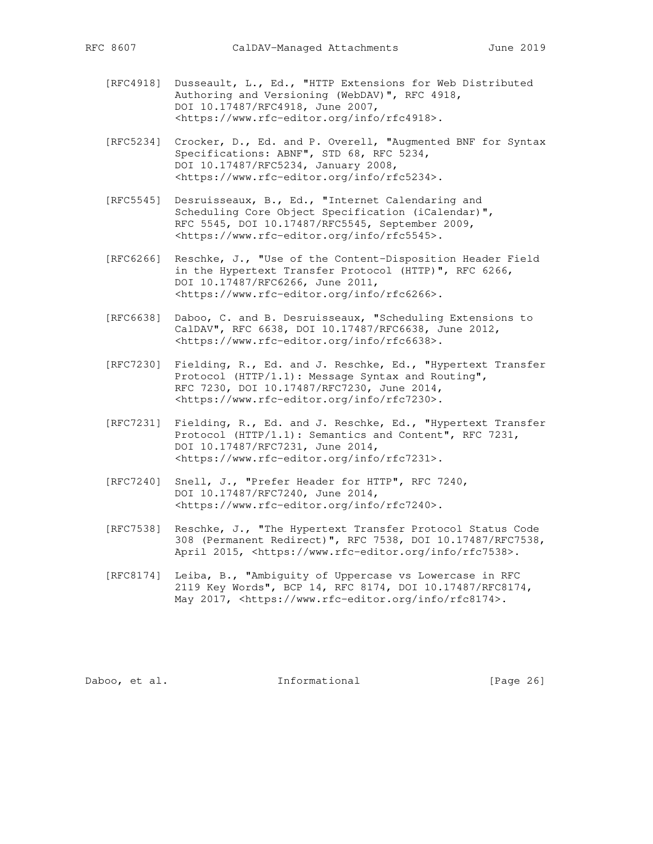- [RFC4918] Dusseault, L., Ed., "HTTP Extensions for Web Distributed Authoring and Versioning (WebDAV)", RFC 4918, DOI 10.17487/RFC4918, June 2007, <https://www.rfc-editor.org/info/rfc4918>.
- [RFC5234] Crocker, D., Ed. and P. Overell, "Augmented BNF for Syntax Specifications: ABNF", STD 68, RFC 5234, DOI 10.17487/RFC5234, January 2008, <https://www.rfc-editor.org/info/rfc5234>.
- [RFC5545] Desruisseaux, B., Ed., "Internet Calendaring and Scheduling Core Object Specification (iCalendar)", RFC 5545, DOI 10.17487/RFC5545, September 2009, <https://www.rfc-editor.org/info/rfc5545>.
- [RFC6266] Reschke, J., "Use of the Content-Disposition Header Field in the Hypertext Transfer Protocol (HTTP)", RFC 6266, DOI 10.17487/RFC6266, June 2011, <https://www.rfc-editor.org/info/rfc6266>.
- [RFC6638] Daboo, C. and B. Desruisseaux, "Scheduling Extensions to CalDAV", RFC 6638, DOI 10.17487/RFC6638, June 2012, <https://www.rfc-editor.org/info/rfc6638>.
- [RFC7230] Fielding, R., Ed. and J. Reschke, Ed., "Hypertext Transfer Protocol (HTTP/1.1): Message Syntax and Routing", RFC 7230, DOI 10.17487/RFC7230, June 2014, <https://www.rfc-editor.org/info/rfc7230>.
- [RFC7231] Fielding, R., Ed. and J. Reschke, Ed., "Hypertext Transfer Protocol (HTTP/1.1): Semantics and Content", RFC 7231, DOI 10.17487/RFC7231, June 2014, <https://www.rfc-editor.org/info/rfc7231>.
- [RFC7240] Snell, J., "Prefer Header for HTTP", RFC 7240, DOI 10.17487/RFC7240, June 2014, <https://www.rfc-editor.org/info/rfc7240>.
- [RFC7538] Reschke, J., "The Hypertext Transfer Protocol Status Code 308 (Permanent Redirect)", RFC 7538, DOI 10.17487/RFC7538, April 2015, <https://www.rfc-editor.org/info/rfc7538>.
- [RFC8174] Leiba, B., "Ambiguity of Uppercase vs Lowercase in RFC 2119 Key Words", BCP 14, RFC 8174, DOI 10.17487/RFC8174, May 2017, <https://www.rfc-editor.org/info/rfc8174>.

Daboo, et al. 1nformational [Page 26]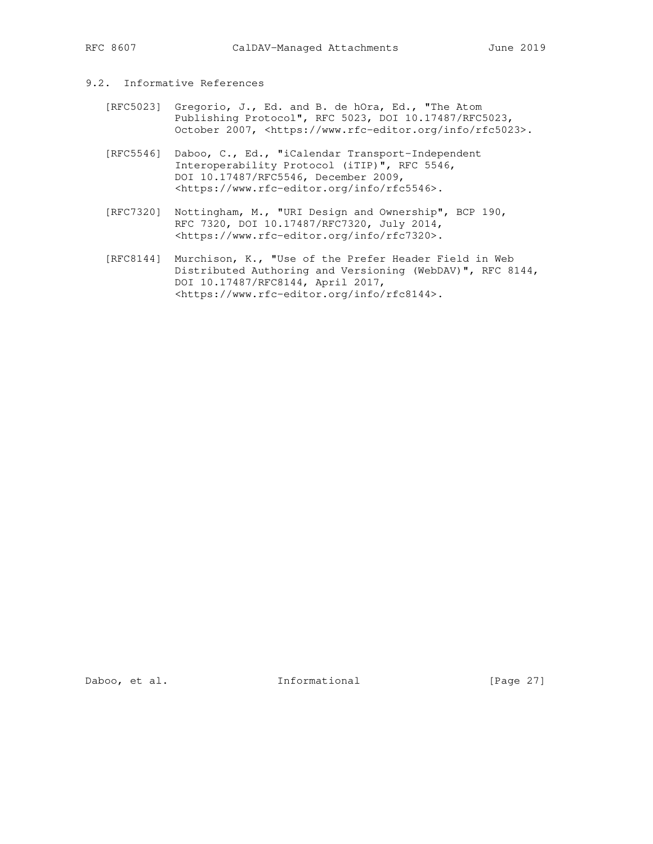# 9.2. Informative References

- [RFC5023] Gregorio, J., Ed. and B. de hOra, Ed., "The Atom Publishing Protocol", RFC 5023, DOI 10.17487/RFC5023, October 2007, <https://www.rfc-editor.org/info/rfc5023>.
- [RFC5546] Daboo, C., Ed., "iCalendar Transport-Independent Interoperability Protocol (iTIP)", RFC 5546, DOI 10.17487/RFC5546, December 2009, <https://www.rfc-editor.org/info/rfc5546>.
- [RFC7320] Nottingham, M., "URI Design and Ownership", BCP 190, RFC 7320, DOI 10.17487/RFC7320, July 2014, <https://www.rfc-editor.org/info/rfc7320>.
- [RFC8144] Murchison, K., "Use of the Prefer Header Field in Web Distributed Authoring and Versioning (WebDAV)", RFC 8144, DOI 10.17487/RFC8144, April 2017, <https://www.rfc-editor.org/info/rfc8144>.

Daboo, et al. 1nformational [Page 27]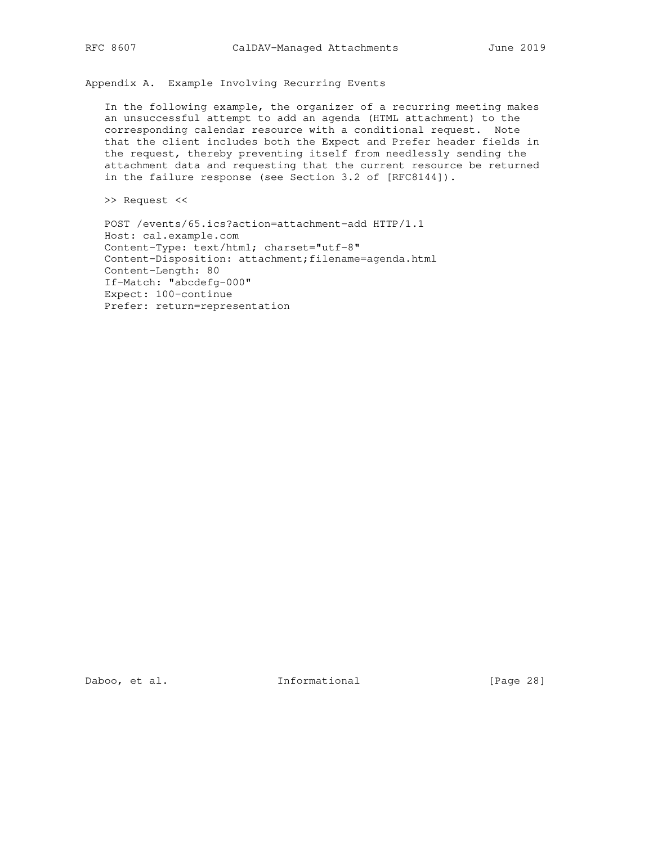Appendix A. Example Involving Recurring Events

 In the following example, the organizer of a recurring meeting makes an unsuccessful attempt to add an agenda (HTML attachment) to the corresponding calendar resource with a conditional request. Note that the client includes both the Expect and Prefer header fields in the request, thereby preventing itself from needlessly sending the attachment data and requesting that the current resource be returned in the failure response (see Section 3.2 of [RFC8144]).

>> Request <<

 POST /events/65.ics?action=attachment-add HTTP/1.1 Host: cal.example.com Content-Type: text/html; charset="utf-8" Content-Disposition: attachment;filename=agenda.html Content-Length: 80 If-Match: "abcdefg-000" Expect: 100-continue Prefer: return=representation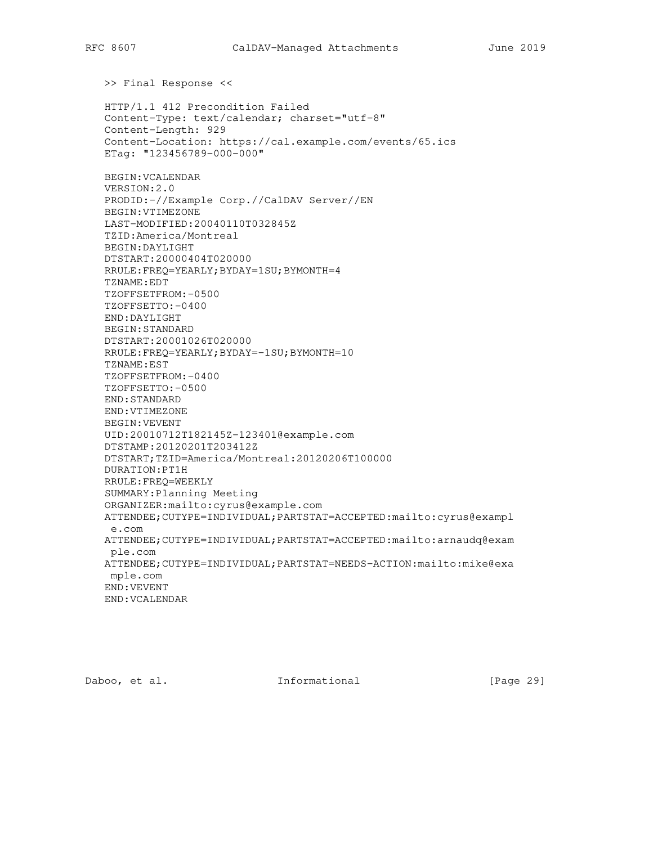>> Final Response <<

 HTTP/1.1 412 Precondition Failed Content-Type: text/calendar; charset="utf-8" Content-Length: 929 Content-Location: https://cal.example.com/events/65.ics ETag: "123456789-000-000" BEGIN:VCALENDAR VERSION:2.0 PRODID:-//Example Corp.//CalDAV Server//EN BEGIN:VTIMEZONE LAST-MODIFIED:20040110T032845Z TZID:America/Montreal BEGIN:DAYLIGHT DTSTART:20000404T020000 RRULE:FREQ=YEARLY;BYDAY=1SU;BYMONTH=4 TZNAME:EDT TZOFFSETFROM:-0500 TZOFFSETTO:-0400 END:DAYLIGHT BEGIN:STANDARD DTSTART:20001026T020000 RRULE:FREQ=YEARLY;BYDAY=-1SU;BYMONTH=10 TZNAME:EST TZOFFSETFROM:-0400 TZOFFSETTO:-0500 END:STANDARD END:VTIMEZONE BEGIN:VEVENT UID:20010712T182145Z-123401@example.com DTSTAMP:20120201T203412Z DTSTART;TZID=America/Montreal:20120206T100000 DURATION:PT1H RRULE:FREQ=WEEKLY SUMMARY:Planning Meeting ORGANIZER:mailto:cyrus@example.com ATTENDEE;CUTYPE=INDIVIDUAL;PARTSTAT=ACCEPTED:mailto:cyrus@exampl e.com ATTENDEE;CUTYPE=INDIVIDUAL;PARTSTAT=ACCEPTED:mailto:arnaudq@exam ple.com ATTENDEE;CUTYPE=INDIVIDUAL;PARTSTAT=NEEDS-ACTION:mailto:mike@exa mple.com END:VEVENT END:VCALENDAR

Daboo, et al. 1nformational [Page 29]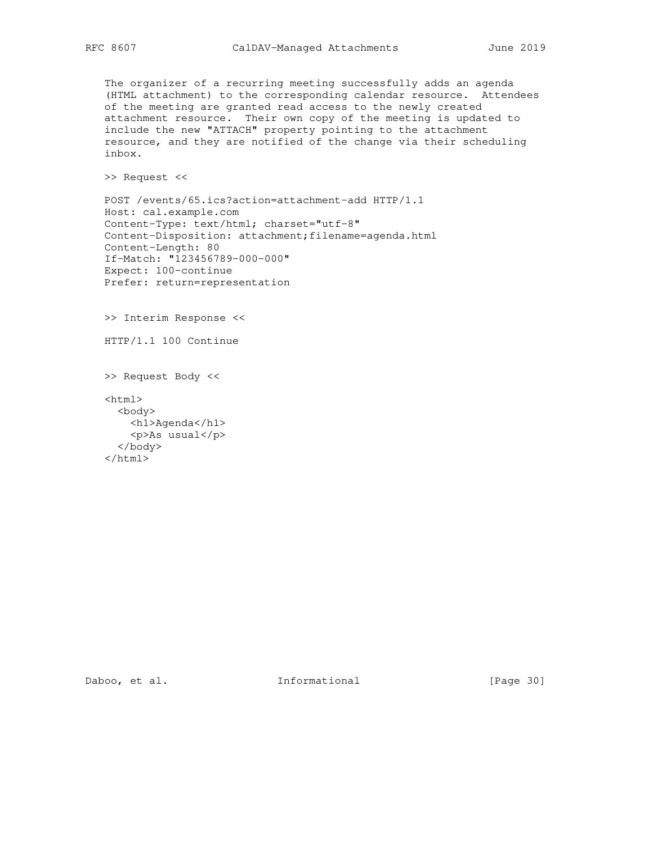The organizer of a recurring meeting successfully adds an agenda (HTML attachment) to the corresponding calendar resource. Attendees of the meeting are granted read access to the newly created attachment resource. Their own copy of the meeting is updated to include the new "ATTACH" property pointing to the attachment resource, and they are notified of the change via their scheduling inbox.

>> Request <<

 POST /events/65.ics?action=attachment-add HTTP/1.1 Host: cal.example.com Content-Type: text/html; charset="utf-8" Content-Disposition: attachment;filename=agenda.html Content-Length: 80 If-Match: "123456789-000-000" Expect: 100-continue Prefer: return=representation

>> Interim Response <<

HTTP/1.1 100 Continue

 >> Request Body << <html> <body> <h1>Agenda</h1> <p>As usual</p>

 </body> </html>

Daboo, et al. 1nformational [Page 30]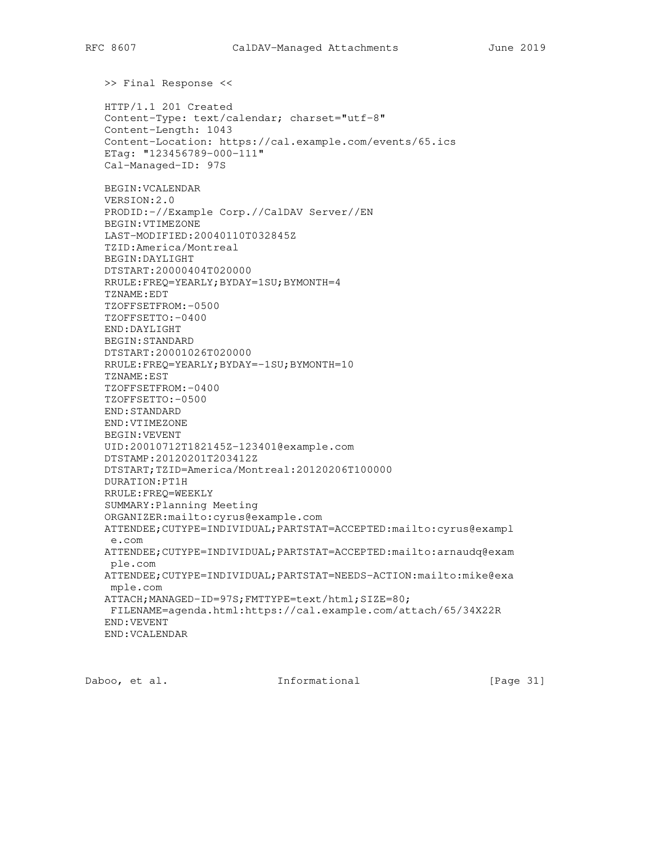>> Final Response <<

 HTTP/1.1 201 Created Content-Type: text/calendar; charset="utf-8" Content-Length: 1043 Content-Location: https://cal.example.com/events/65.ics ETag: "123456789-000-111" Cal-Managed-ID: 97S

 BEGIN:VCALENDAR VERSION:2.0 PRODID:-//Example Corp.//CalDAV Server//EN BEGIN:VTIMEZONE LAST-MODIFIED:20040110T032845Z TZID:America/Montreal BEGIN:DAYLIGHT DTSTART:20000404T020000 RRULE:FREQ=YEARLY;BYDAY=1SU;BYMONTH=4 TZNAME:EDT TZOFFSETFROM:-0500 TZOFFSETTO:-0400 END:DAYLIGHT BEGIN:STANDARD DTSTART:20001026T020000 RRULE:FREQ=YEARLY;BYDAY=-1SU;BYMONTH=10 TZNAME:EST TZOFFSETFROM:-0400 TZOFFSETTO:-0500 END:STANDARD END:VTIMEZONE BEGIN:VEVENT UID:20010712T182145Z-123401@example.com DTSTAMP:20120201T203412Z DTSTART;TZID=America/Montreal:20120206T100000 DURATION:PT1H RRULE:FREQ=WEEKLY SUMMARY:Planning Meeting ORGANIZER:mailto:cyrus@example.com ATTENDEE;CUTYPE=INDIVIDUAL;PARTSTAT=ACCEPTED:mailto:cyrus@exampl e.com ATTENDEE;CUTYPE=INDIVIDUAL;PARTSTAT=ACCEPTED:mailto:arnaudq@exam ple.com ATTENDEE;CUTYPE=INDIVIDUAL;PARTSTAT=NEEDS-ACTION:mailto:mike@exa mple.com ATTACH;MANAGED-ID=97S;FMTTYPE=text/html;SIZE=80; FILENAME=agenda.html:https://cal.example.com/attach/65/34X22R END:VEVENT END:VCALENDAR

Daboo, et al. 1nformational [Page 31]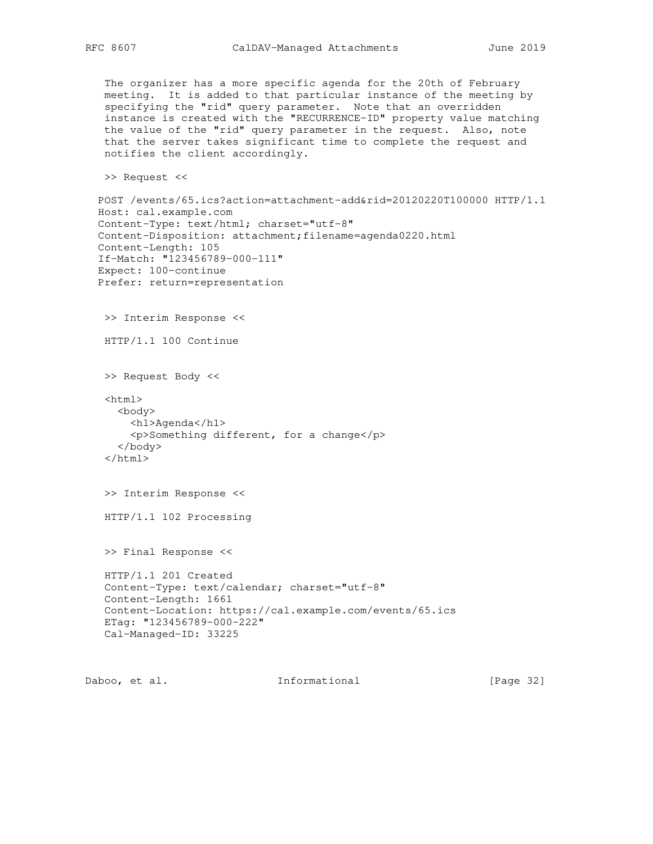The organizer has a more specific agenda for the 20th of February meeting. It is added to that particular instance of the meeting by specifying the "rid" query parameter. Note that an overridden instance is created with the "RECURRENCE-ID" property value matching the value of the "rid" query parameter in the request. Also, note that the server takes significant time to complete the request and notifies the client accordingly.

>> Request <<

```
 POST /events/65.ics?action=attachment-add&rid=20120220T100000 HTTP/1.1
Host: cal.example.com
Content-Type: text/html; charset="utf-8"
Content-Disposition: attachment;filename=agenda0220.html
Content-Length: 105
If-Match: "123456789-000-111"
Expect: 100-continue
Prefer: return=representation
 >> Interim Response <<
 HTTP/1.1 100 Continue
 >> Request Body <<
 <html>
   <body>
     <h1>Agenda</h1>
     <p>Something different, for a change</p>
   </body>
 </html>
 >> Interim Response <<
 HTTP/1.1 102 Processing
 >> Final Response <<
 HTTP/1.1 201 Created
```

```
 Content-Type: text/calendar; charset="utf-8"
Content-Length: 1661
Content-Location: https://cal.example.com/events/65.ics
ETag: "123456789-000-222"
Cal-Managed-ID: 33225
```
Daboo, et al. 1nformational [Page 32]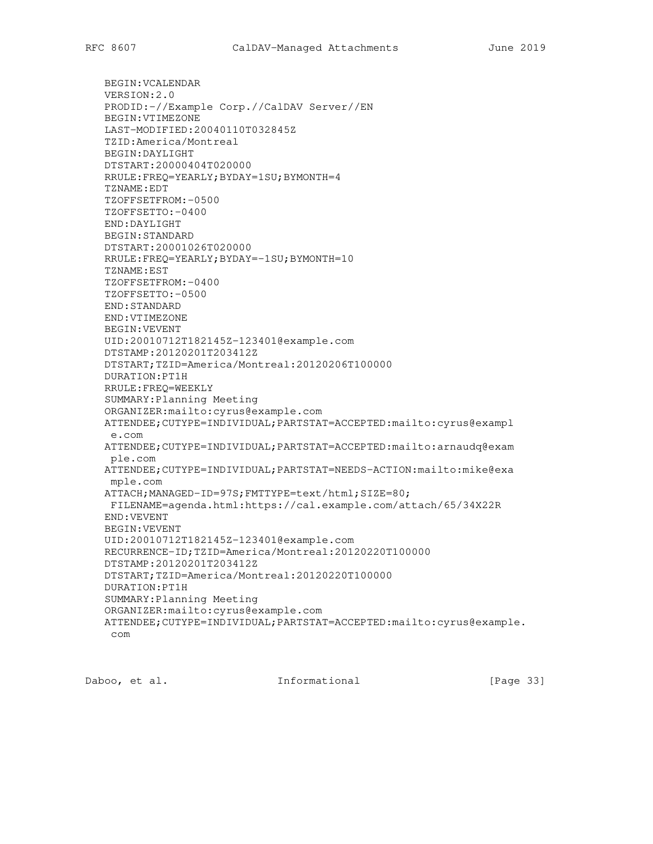BEGIN:VCALENDAR VERSION:2.0 PRODID:-//Example Corp.//CalDAV Server//EN BEGIN:VTIMEZONE LAST-MODIFIED:20040110T032845Z TZID:America/Montreal BEGIN:DAYLIGHT DTSTART:20000404T020000 RRULE:FREQ=YEARLY;BYDAY=1SU;BYMONTH=4 TZNAME:EDT TZOFFSETFROM:-0500 TZOFFSETTO:-0400 END:DAYLIGHT BEGIN:STANDARD DTSTART:20001026T020000 RRULE:FREQ=YEARLY;BYDAY=-1SU;BYMONTH=10 TZNAME:EST TZOFFSETFROM:-0400 TZOFFSETTO:-0500 END:STANDARD END:VTIMEZONE BEGIN:VEVENT UID:20010712T182145Z-123401@example.com DTSTAMP:20120201T203412Z DTSTART;TZID=America/Montreal:20120206T100000 DURATION:PT1H RRULE:FREQ=WEEKLY SUMMARY:Planning Meeting ORGANIZER:mailto:cyrus@example.com ATTENDEE;CUTYPE=INDIVIDUAL;PARTSTAT=ACCEPTED:mailto:cyrus@exampl e.com ATTENDEE;CUTYPE=INDIVIDUAL;PARTSTAT=ACCEPTED:mailto:arnaudq@exam ple.com ATTENDEE;CUTYPE=INDIVIDUAL;PARTSTAT=NEEDS-ACTION:mailto:mike@exa mple.com ATTACH;MANAGED-ID=97S;FMTTYPE=text/html;SIZE=80; FILENAME=agenda.html:https://cal.example.com/attach/65/34X22R END:VEVENT BEGIN:VEVENT UID:20010712T182145Z-123401@example.com RECURRENCE-ID;TZID=America/Montreal:20120220T100000 DTSTAMP:20120201T203412Z DTSTART;TZID=America/Montreal:20120220T100000 DURATION:PT1H SUMMARY:Planning Meeting ORGANIZER:mailto:cyrus@example.com ATTENDEE;CUTYPE=INDIVIDUAL;PARTSTAT=ACCEPTED:mailto:cyrus@example. com

Daboo, et al. 1nformational [Page 33]